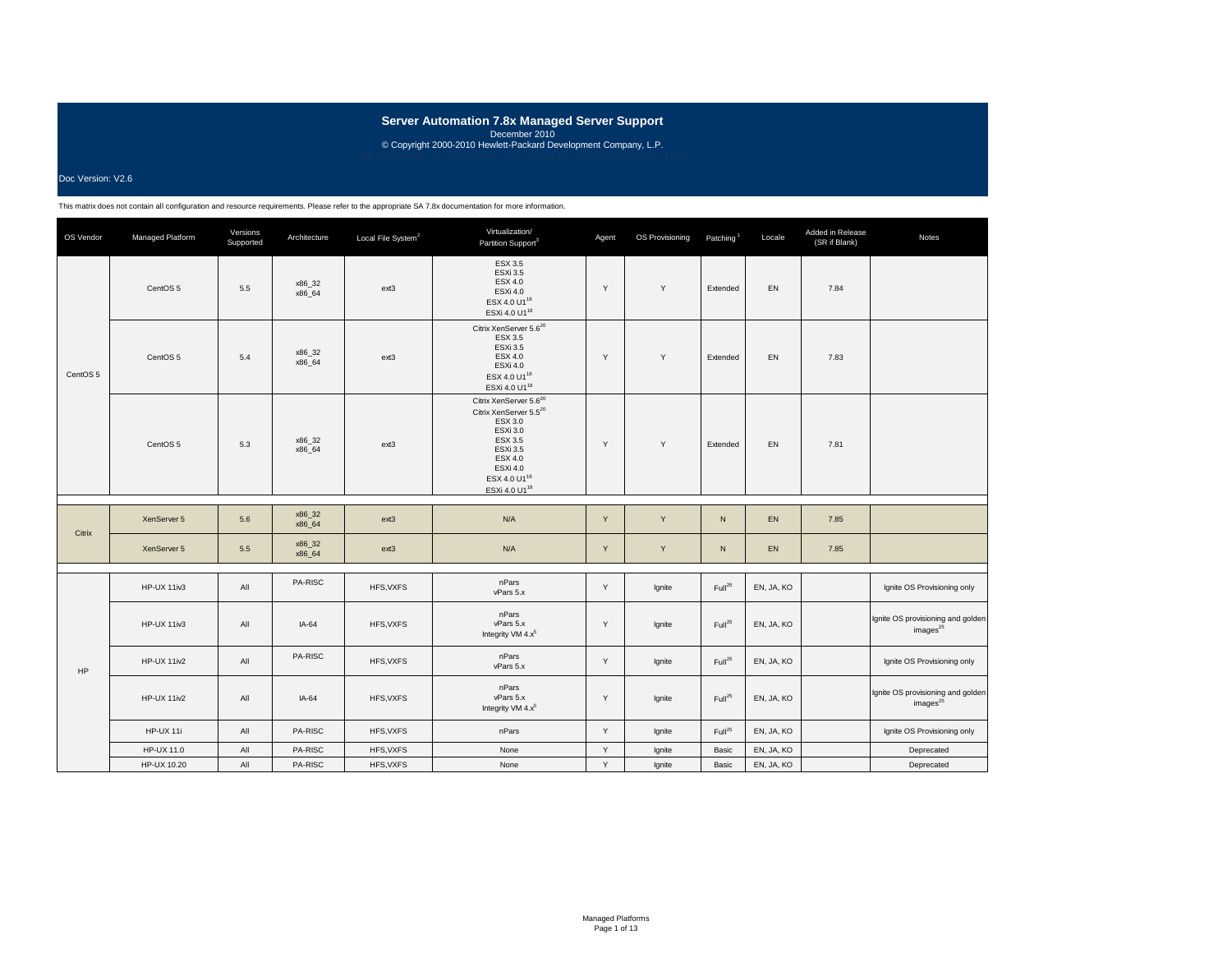### Doc Version: V2.6

| OS Vendor | Managed Platform    | Versions<br>Supported | Architecture     | Local File System <sup>2</sup> | Virtualization/<br>Partition Support <sup>3</sup>                                                                                                                                                                    | Agent | OS Provisioning | Patching <sup>1</sup> | Locale     | Added in Release<br>(SR if Blank) | Notes                                                     |
|-----------|---------------------|-----------------------|------------------|--------------------------------|----------------------------------------------------------------------------------------------------------------------------------------------------------------------------------------------------------------------|-------|-----------------|-----------------------|------------|-----------------------------------|-----------------------------------------------------------|
|           | CentOS 5            | 5.5                   | x86_32<br>x86 64 | ext3                           | <b>ESX 3.5</b><br><b>ESXi 3.5</b><br>ESX 4.0<br>ESXi 4.0<br>ESX 4.0 U1 <sup>18</sup><br>ESXi 4.0 U1 <sup>18</sup>                                                                                                    | Y     | Y               | Extended              | EN         | 7.84                              |                                                           |
| CentOS 5  | CentOS <sub>5</sub> | 5.4                   | x86_32<br>x86_64 | ext3                           | Citrix XenServer 5.6 <sup>20</sup><br>ESX 3.5<br><b>ESXi 3.5</b><br>ESX 4.0<br>ESXi 4.0<br>ESX 4.0 U1 <sup>18</sup><br>ESXi 4.0 U1 <sup>18</sup>                                                                     | Y     | Y               | Extended              | EN         | 7.83                              |                                                           |
|           | CentOS <sub>5</sub> | 5.3                   | x86_32<br>x86 64 | ext <sub>3</sub>               | Citrix XenServer 5.6 <sup>20</sup><br>Citrix XenServer 5.5 <sup>20</sup><br>ESX 3.0<br>ESXi 3.0<br>ESX 3.5<br><b>ESXi 3.5</b><br><b>ESX 4.0</b><br>ESXi 4.0<br>ESX 4.0 U1 <sup>18</sup><br>ESXi 4.0 U1 <sup>18</sup> | Y     | Y               | Extended              | EN         | 7.81                              |                                                           |
|           | XenServer 5         | 5.6                   | x86_32<br>x86_64 | $ext{3}$                       | N/A                                                                                                                                                                                                                  | Y     | Y               | ${\sf N}$             | EN         | 7.85                              |                                                           |
| Citrix    | XenServer 5         | 5.5                   | x86_32<br>x86_64 | $ext{3}$                       | N/A                                                                                                                                                                                                                  | Y     | Y               | N                     | EN         | 7.85                              |                                                           |
|           | HP-UX 11iv3         | All                   | PA-RISC          | HFS, VXFS                      | nPars<br>vPars 5.x                                                                                                                                                                                                   | Υ     | Ignite          | Full <sup>25</sup>    | EN, JA, KO |                                   | Ignite OS Provisioning only                               |
|           | HP-UX 11iv3         | All                   | $IA-64$          | HFS, VXFS                      | nPars<br>vPars 5.x<br>Integrity VM 4.x <sup>5</sup>                                                                                                                                                                  | Y     | Ignite          | Full <sup>25</sup>    | EN, JA, KO |                                   | Ignite OS provisioning and golden<br>images <sup>25</sup> |
| HP        | HP-UX 11iv2         | All                   | PA-RISC          | HFS, VXFS                      | nPars<br>vPars 5.x                                                                                                                                                                                                   | Y     | Ignite          | Full <sup>25</sup>    | EN, JA, KO |                                   | Ignite OS Provisioning only                               |
|           | HP-UX 11iv2         | All                   | $IA-64$          | HFS, VXFS                      | nPars<br>vPars 5.x<br>Integrity VM 4.x <sup>5</sup>                                                                                                                                                                  | Y     | lgnite          | Full <sup>25</sup>    | EN, JA, KO |                                   | Ignite OS provisioning and golden<br>images <sup>25</sup> |
|           | HP-UX 11i           | All                   | PA-RISC          | HFS, VXFS                      | nPars                                                                                                                                                                                                                | Y     | Ignite          | Full <sup>25</sup>    | EN, JA, KO |                                   | Ignite OS Provisioning only                               |
|           | HP-UX 11.0          | All                   | PA-RISC          | HFS, VXFS                      | None                                                                                                                                                                                                                 | Y     | Ignite          | Basic                 | EN, JA, KO |                                   | Deprecated                                                |
|           | HP-UX 10.20         | All                   | PA-RISC          | HFS, VXFS                      | None                                                                                                                                                                                                                 | Y     | Ignite          | Basic                 | EN, JA, KO |                                   | Deprecated                                                |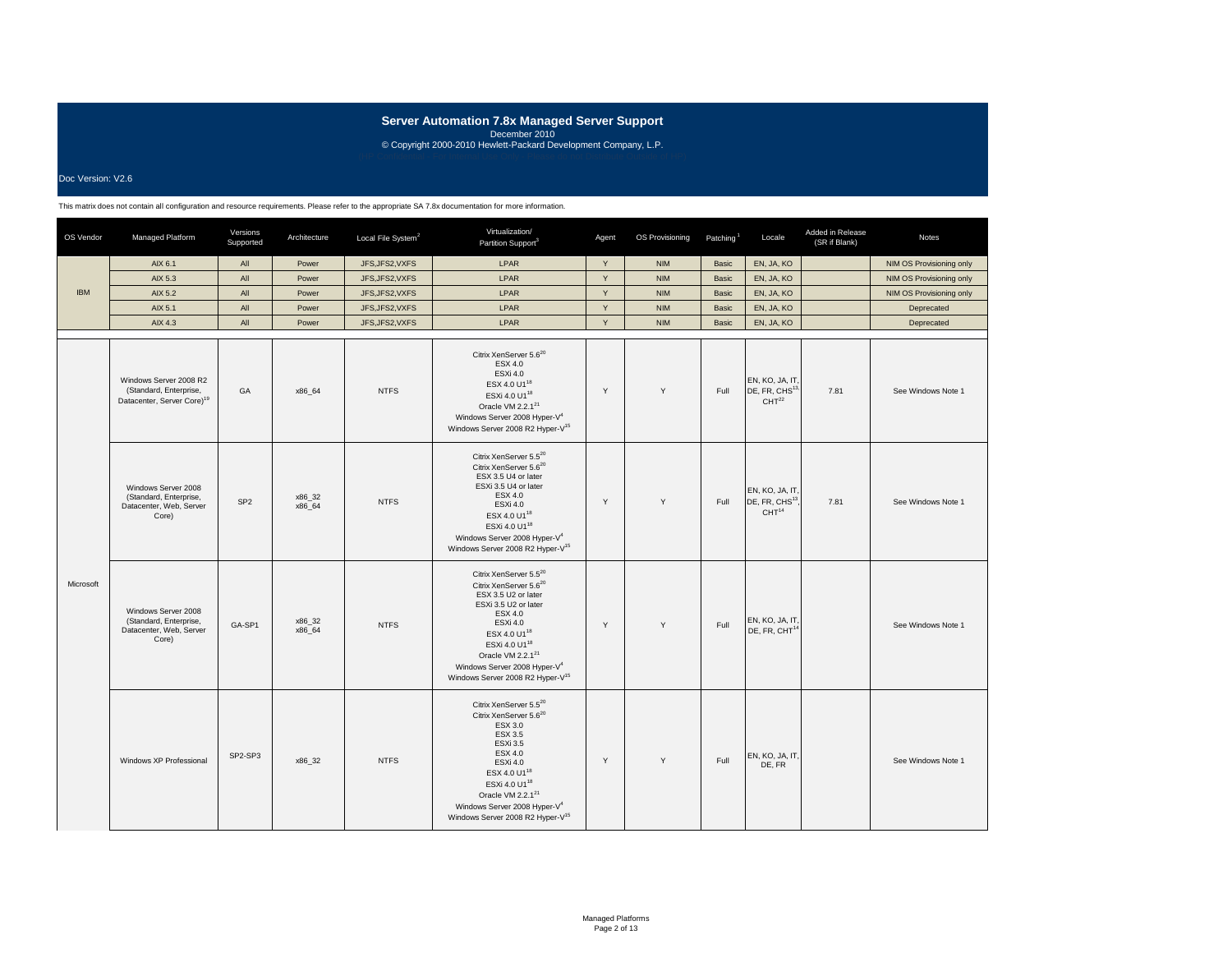Doc Version: V2.6

| OS Vendor  | Managed Platform                                                                           | Versions<br>Supported | Architecture     | Local File System <sup>2</sup> | Virtualization/<br>Partition Support <sup>3</sup>                                                                                                                                                                                                                                                                                    | Agent        | OS Provisioning | Patching <sup>1</sup> | Locale                                                             | Added in Release<br>(SR if Blank) | <b>Notes</b>             |
|------------|--------------------------------------------------------------------------------------------|-----------------------|------------------|--------------------------------|--------------------------------------------------------------------------------------------------------------------------------------------------------------------------------------------------------------------------------------------------------------------------------------------------------------------------------------|--------------|-----------------|-----------------------|--------------------------------------------------------------------|-----------------------------------|--------------------------|
|            | AIX 6.1                                                                                    | All                   | Power            | JFS, JFS2, VXFS                | LPAR                                                                                                                                                                                                                                                                                                                                 | Y            | <b>NIM</b>      | Basic                 | EN, JA, KO                                                         |                                   | NIM OS Provisioning only |
|            | AIX 5.3                                                                                    | All                   | Power            | JFS, JFS2, VXFS                | LPAR                                                                                                                                                                                                                                                                                                                                 | Y            | <b>NIM</b>      | Basic                 | EN, JA, KO                                                         |                                   | NIM OS Provisioning only |
| <b>IBM</b> | AIX 5.2                                                                                    | All                   | Power            | JFS, JFS2, VXFS                | LPAR                                                                                                                                                                                                                                                                                                                                 | Y            | <b>NIM</b>      | Basic                 | EN, JA, KO                                                         |                                   | NIM OS Provisioning only |
|            | AIX 5.1                                                                                    | All                   | Power            | JFS, JFS2, VXFS                | LPAR                                                                                                                                                                                                                                                                                                                                 | $\mathsf Y$  | <b>NIM</b>      | Basic                 | EN, JA, KO                                                         |                                   | Deprecated               |
|            | AIX 4.3                                                                                    | All                   | Power            | JFS, JFS2, VXFS                | LPAR                                                                                                                                                                                                                                                                                                                                 | $\mathsf{Y}$ | <b>NIM</b>      | Basic                 | EN, JA, KO                                                         |                                   | Deprecated               |
|            | Windows Server 2008 R2<br>(Standard, Enterprise,<br>Datacenter, Server Core) <sup>19</sup> | GA                    | x86_64           | <b>NTFS</b>                    | Citrix XenServer 5.6 <sup>20</sup><br>ESX 4.0<br>ESXi 4.0<br>ESX 4.0 U1 <sup>18</sup><br>ESXi 4.0 U1 <sup>18</sup><br>Oracle VM 2.2.1 <sup>21</sup><br>Windows Server 2008 Hyper-V <sup>4</sup><br>Windows Server 2008 R2 Hyper-V <sup>15</sup>                                                                                      | Y            | Y               | Full                  | EN, KO, JA, IT,<br>DE, FR, CHS <sup>13,</sup><br>CHT <sup>22</sup> | 7.81                              | See Windows Note 1       |
| Microsoft  | Windows Server 2008<br>(Standard, Enterprise,<br>Datacenter, Web, Server<br>Core)          | SP <sub>2</sub>       | x86_32<br>x86_64 | <b>NTFS</b>                    | Citrix XenServer 5.520<br>Citrix XenServer 5.6 <sup>20</sup><br>ESX 3.5 U4 or later<br>ESXi 3.5 U4 or later<br>ESX 4.0<br>ESXi 4.0<br>ESX 4.0 U1 <sup>18</sup><br>ESXi 4.0 U1 <sup>18</sup><br>Windows Server 2008 Hyper-V <sup>4</sup><br>Windows Server 2008 R2 Hyper-V <sup>15</sup>                                              | Y            | Y               | Full                  | EN, KO, JA, IT,<br>DE, FR, CHS <sup>13</sup><br>CHT <sup>14</sup>  | 7.81                              | See Windows Note 1       |
|            | Windows Server 2008<br>(Standard, Enterprise,<br>Datacenter, Web, Server<br>Core)          | GA-SP1                | x86_32<br>x86 64 | <b>NTFS</b>                    | Citrix XenServer 5.5 <sup>20</sup><br>Citrix XenServer 5.6 <sup>20</sup><br>ESX 3.5 U2 or later<br>ESXi 3.5 U2 or later<br>ESX 4.0<br>ESXi 4.0<br>ESX 4.0 U1 <sup>18</sup><br>ESXi 4.0 U1 <sup>18</sup><br>Oracle VM 2.2.1 <sup>21</sup><br>Windows Server 2008 Hyper-V <sup>4</sup><br>Windows Server 2008 R2 Hyper-V <sup>15</sup> | Y            | Y               | Full                  | EN, KO, JA, IT,<br>DE, FR, CHT <sup>14</sup>                       |                                   | See Windows Note 1       |
|            | Windows XP Professional                                                                    | SP2-SP3               | x86_32           | <b>NTFS</b>                    | Citrix XenServer 5.520<br>Citrix XenServer 5.6 <sup>20</sup><br>ESX 3.0<br><b>ESX 3.5</b><br>ESXi 3.5<br><b>ESX 4.0</b><br>ESXi 4.0<br>ESX 4.0 U1 <sup>18</sup><br>ESXi 4.0 U1 <sup>18</sup><br>Oracle VM 2.2.1 <sup>21</sup><br>Windows Server 2008 Hyper-V <sup>4</sup><br>Windows Server 2008 R2 Hyper-V <sup>15</sup>            | Y            | Y               | Full                  | EN, KO, JA, IT,<br>DE, FR                                          |                                   | See Windows Note 1       |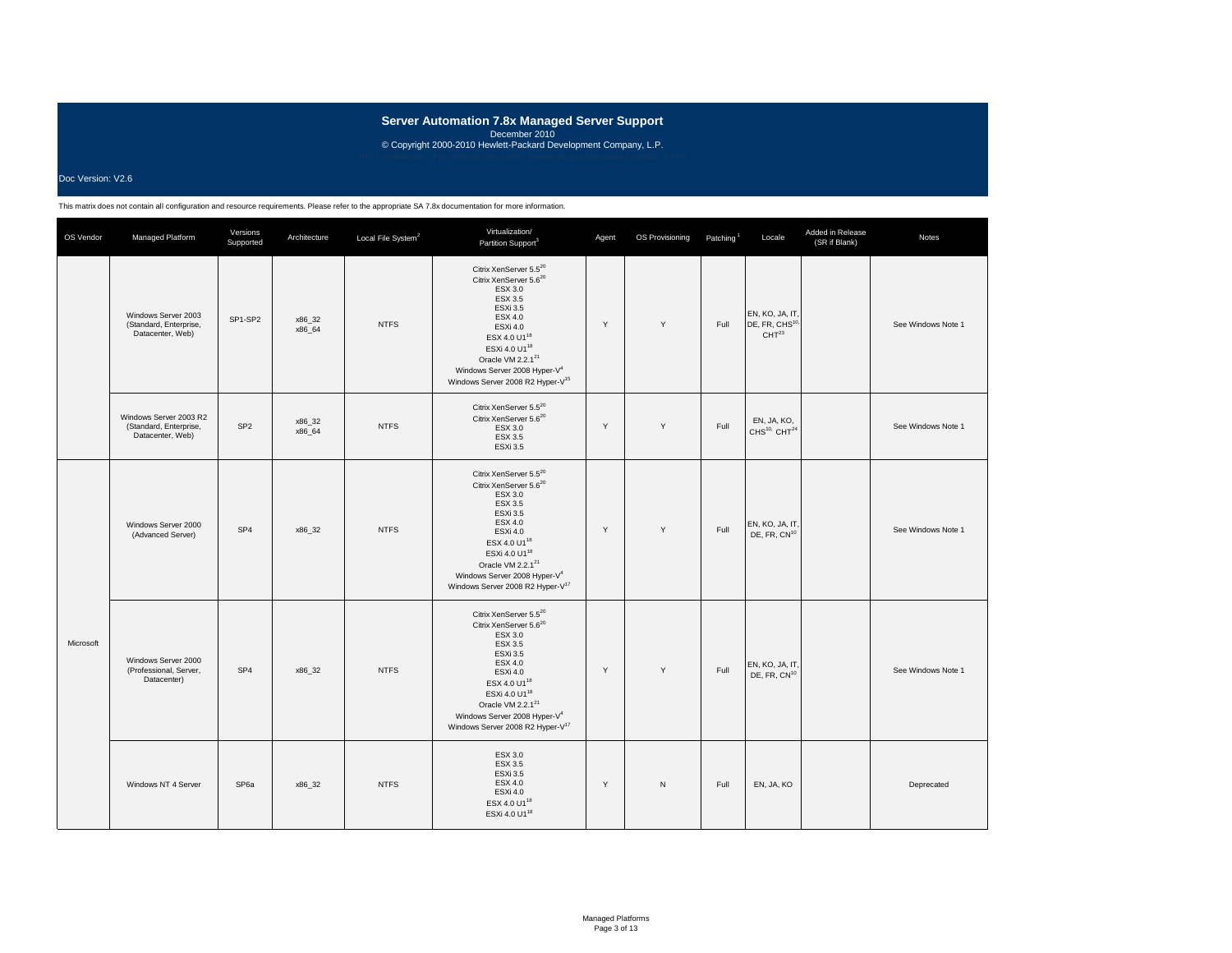### Doc Version: V2.6

| OS Vendor | Managed Platform                                                     | Versions<br>Supported | Architecture     | Local File System <sup>2</sup> | Virtualization/<br>Partition Support <sup>3</sup>                                                                                                                                                                                                                                                                              | Agent | OS Provisioning | Patching <sup>1</sup> | Locale                                                            | Added in Release<br>(SR if Blank) | Notes              |
|-----------|----------------------------------------------------------------------|-----------------------|------------------|--------------------------------|--------------------------------------------------------------------------------------------------------------------------------------------------------------------------------------------------------------------------------------------------------------------------------------------------------------------------------|-------|-----------------|-----------------------|-------------------------------------------------------------------|-----------------------------------|--------------------|
|           | Windows Server 2003<br>(Standard, Enterprise,<br>Datacenter, Web)    | SP1-SP2               | x86 32<br>x86 64 | <b>NTFS</b>                    | Citrix XenServer 5.5 <sup>20</sup><br>Citrix XenServer 5.6 <sup>20</sup><br>ESX 3.0<br>ESX 3.5<br>ESXi 3.5<br><b>ESX 4.0</b><br>ESXi 4.0<br>ESX 4.0 U1 <sup>18</sup><br>ESXi 4.0 U1 <sup>18</sup><br>Oracle VM 2.2.1 <sup>21</sup><br>Windows Server 2008 Hyper-V <sup>4</sup><br>Windows Server 2008 R2 Hyper-V <sup>15</sup> | Y     | Y               | Full                  | EN, KO, JA, IT,<br>DE, FR, CHS <sup>10</sup><br>CHT <sup>23</sup> |                                   | See Windows Note 1 |
|           | Windows Server 2003 R2<br>(Standard, Enterprise,<br>Datacenter, Web) | SP <sub>2</sub>       | x86_32<br>x86 64 | <b>NTFS</b>                    | Citrix XenServer 5.5 <sup>20</sup><br>Citrix XenServer 5.6 <sup>20</sup><br>ESX 3.0<br>ESX 3.5<br>ESXi 3.5                                                                                                                                                                                                                     | Y     | Y               | Full                  | EN, JA, KO,<br>CHS <sup>10,</sup> CHT <sup>24</sup>               |                                   | See Windows Note 1 |
|           | Windows Server 2000<br>(Advanced Server)                             | SP <sub>4</sub>       | x86_32           | <b>NTFS</b>                    | Citrix XenServer 5.5 <sup>20</sup><br>Citrix XenServer 5.6 <sup>20</sup><br>ESX 3.0<br>ESX 3.5<br>ESXi 3.5<br><b>ESX 4.0</b><br>ESXi 4.0<br>ESX 4.0 U1 <sup>18</sup><br>ESXi 4.0 U1 <sup>18</sup><br>Oracle VM 2.2.1 <sup>21</sup><br>Windows Server 2008 Hyper-V <sup>4</sup><br>Windows Server 2008 R2 Hyper-V <sup>17</sup> | Y     | Y               | Full                  | EN, KO, JA, IT,<br>DE, FR, CN <sup>10</sup>                       |                                   | See Windows Note 1 |
| Microsoft | Windows Server 2000<br>(Professional, Server,<br>Datacenter)         | SP <sub>4</sub>       | x86_32           | <b>NTFS</b>                    | Citrix XenServer 5.520<br>Citrix XenServer 5.6 <sup>20</sup><br>ESX 3.0<br>ESX 3.5<br>ESXi 3.5<br><b>ESX 4.0</b><br>ESXi 4.0<br>ESX 4.0 U1 <sup>18</sup><br>ESXi 4.0 U1 <sup>18</sup><br>Oracle VM 2.2.1 <sup>21</sup><br>Windows Server 2008 Hyper-V <sup>4</sup><br>Windows Server 2008 R2 Hyper-V <sup>17</sup>             | Y     | Y               | Full                  | EN, KO, JA, IT,<br>DE, FR, CN <sup>10</sup>                       |                                   | See Windows Note 1 |
|           | Windows NT 4 Server                                                  | SP <sub>6a</sub>      | x86_32           | <b>NTFS</b>                    | ESX 3.0<br><b>ESX 3.5</b><br><b>ESXi 3.5</b><br>ESX 4.0<br>ESXi 4.0<br>ESX 4.0 U1 <sup>18</sup><br>ESXi 4.0 U1 <sup>18</sup>                                                                                                                                                                                                   | Y     | $\mathsf{N}$    | Full                  | EN, JA, KO                                                        |                                   | Deprecated         |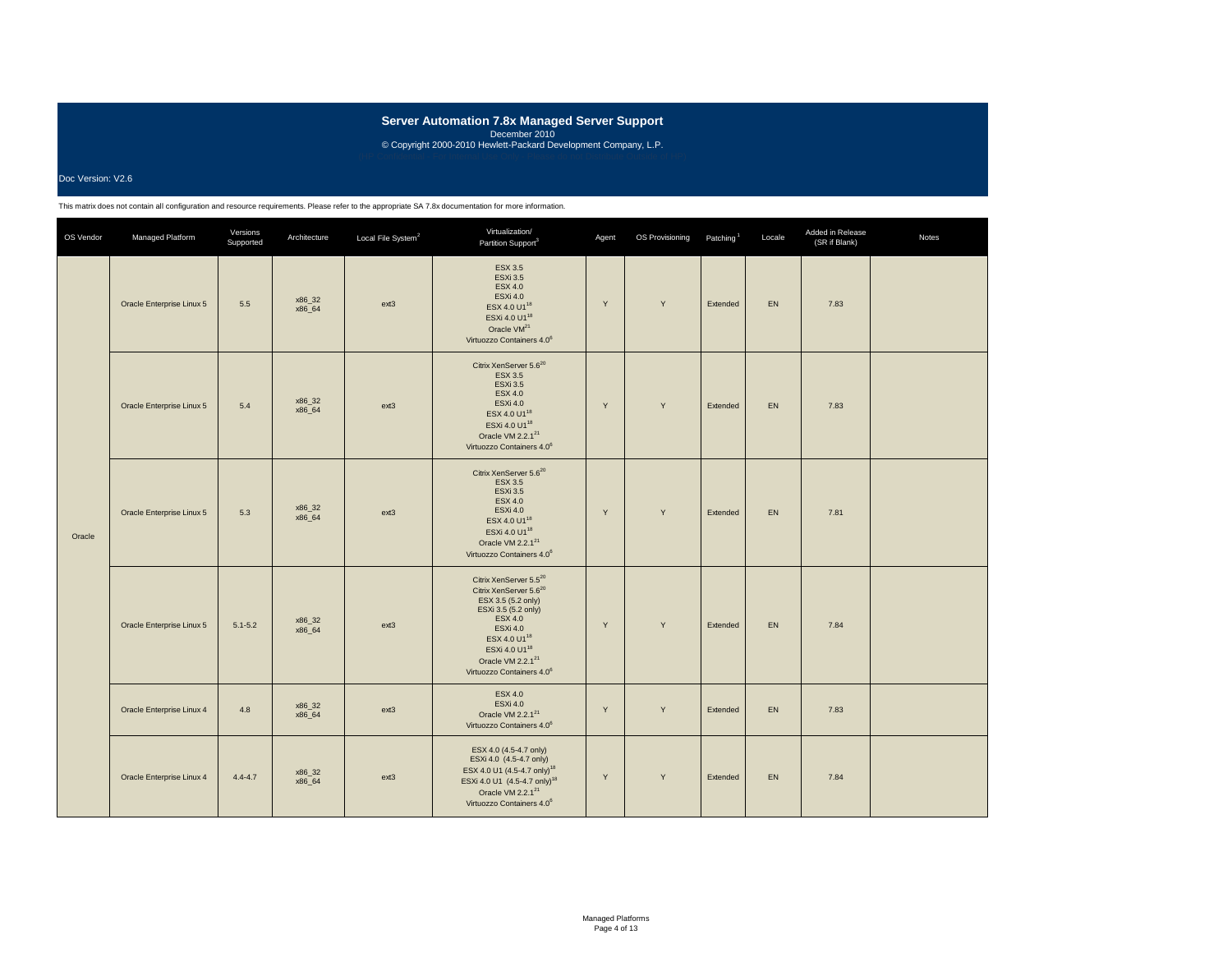### Doc Version: V2.6

| OS Vendor | Managed Platform          | Versions<br>Supported | Architecture     | Local File System <sup>2</sup> | Virtualization/<br>Partition Support <sup>3</sup>                                                                                                                                                                                                                                      | Agent | OS Provisioning | Patching <sup>1</sup> | Locale | Added in Release<br>(SR if Blank) | Notes |
|-----------|---------------------------|-----------------------|------------------|--------------------------------|----------------------------------------------------------------------------------------------------------------------------------------------------------------------------------------------------------------------------------------------------------------------------------------|-------|-----------------|-----------------------|--------|-----------------------------------|-------|
|           | Oracle Enterprise Linux 5 | 5.5                   | x86_32<br>x86 64 | $ext{3}$                       | <b>ESX 3.5</b><br><b>ESXi 3.5</b><br><b>ESX 4.0</b><br><b>ESXi 4.0</b><br>ESX 4.0 U1 <sup>18</sup><br>ESXi 4.0 U1 <sup>18</sup><br>Oracle VM <sup>21</sup><br>Virtuozzo Containers 4.0 <sup>6</sup>                                                                                    | Y     | Y               | Extended              | EN.    | 7.83                              |       |
| Oracle    | Oracle Enterprise Linux 5 | 5.4                   | x86 32<br>x86_64 | $ext{3}$                       | Citrix XenServer 5.6 <sup>20</sup><br><b>ESX 3.5</b><br><b>ESXi 3.5</b><br><b>ESX 4.0</b><br><b>ESXi 4.0</b><br>ESX 4.0 U1 <sup>18</sup><br>ESXi 4.0 U1 <sup>18</sup><br>Oracle VM 2.2.1 <sup>21</sup><br>Virtuozzo Containers 4.0 <sup>6</sup>                                        | Y     | Y               | Extended              | EN     | 7.83                              |       |
|           | Oracle Enterprise Linux 5 | 5.3                   | x86_32<br>x86 64 | $ext{3}$                       | Citrix XenServer 5.6 <sup>20</sup><br><b>ESX 3.5</b><br><b>ESXi 3.5</b><br><b>ESX 4.0</b><br><b>ESXi 4.0</b><br>ESX 4.0 U1 <sup>18</sup><br>ESXi 4.0 U1 <sup>18</sup><br>Oracle VM 2.2.1 <sup>21</sup><br>Virtuozzo Containers 4.0 <sup>6</sup>                                        | Y     | Y               | Extended              | EN     | 7.81                              |       |
|           | Oracle Enterprise Linux 5 | $5.1 - 5.2$           | x86_32<br>x86_64 | $ext{3}$                       | Citrix XenServer 5.5 <sup>20</sup><br>Citrix XenServer 5.6 <sup>20</sup><br>ESX 3.5 (5.2 only)<br>ESXi 3.5 (5.2 only)<br>ESX 4.0<br><b>ESXi 4.0</b><br>ESX 4.0 U1 <sup>18</sup><br>ESXi 4.0 U1 <sup>18</sup><br>Oracle VM 2.2.1 <sup>21</sup><br>Virtuozzo Containers 4.0 <sup>6</sup> | Y     | Y               | Extended              | EN.    | 7.84                              |       |
|           | Oracle Enterprise Linux 4 | 4.8                   | x86 32<br>x86_64 | ext3                           | <b>ESX 4.0</b><br><b>ESXi 4.0</b><br>Oracle VM 2.2.1 <sup>21</sup><br>Virtuozzo Containers 4.0 <sup>6</sup>                                                                                                                                                                            | Y     | Y               | Extended              | EN     | 7.83                              |       |
|           | Oracle Enterprise Linux 4 | $4.4 - 4.7$           | x86_32<br>x86_64 | ext3                           | ESX 4.0 (4.5-4.7 only)<br>ESXi 4.0 (4.5-4.7 only)<br>ESX 4.0 U1 (4.5-4.7 only) <sup>18</sup><br>ESXi 4.0 U1 (4.5-4.7 only) <sup>18</sup><br>Oracle VM 2.2.1 <sup>21</sup><br>Virtuozzo Containers 4.0 <sup>6</sup>                                                                     | Y     | Y               | Extended              | EN     | 7.84                              |       |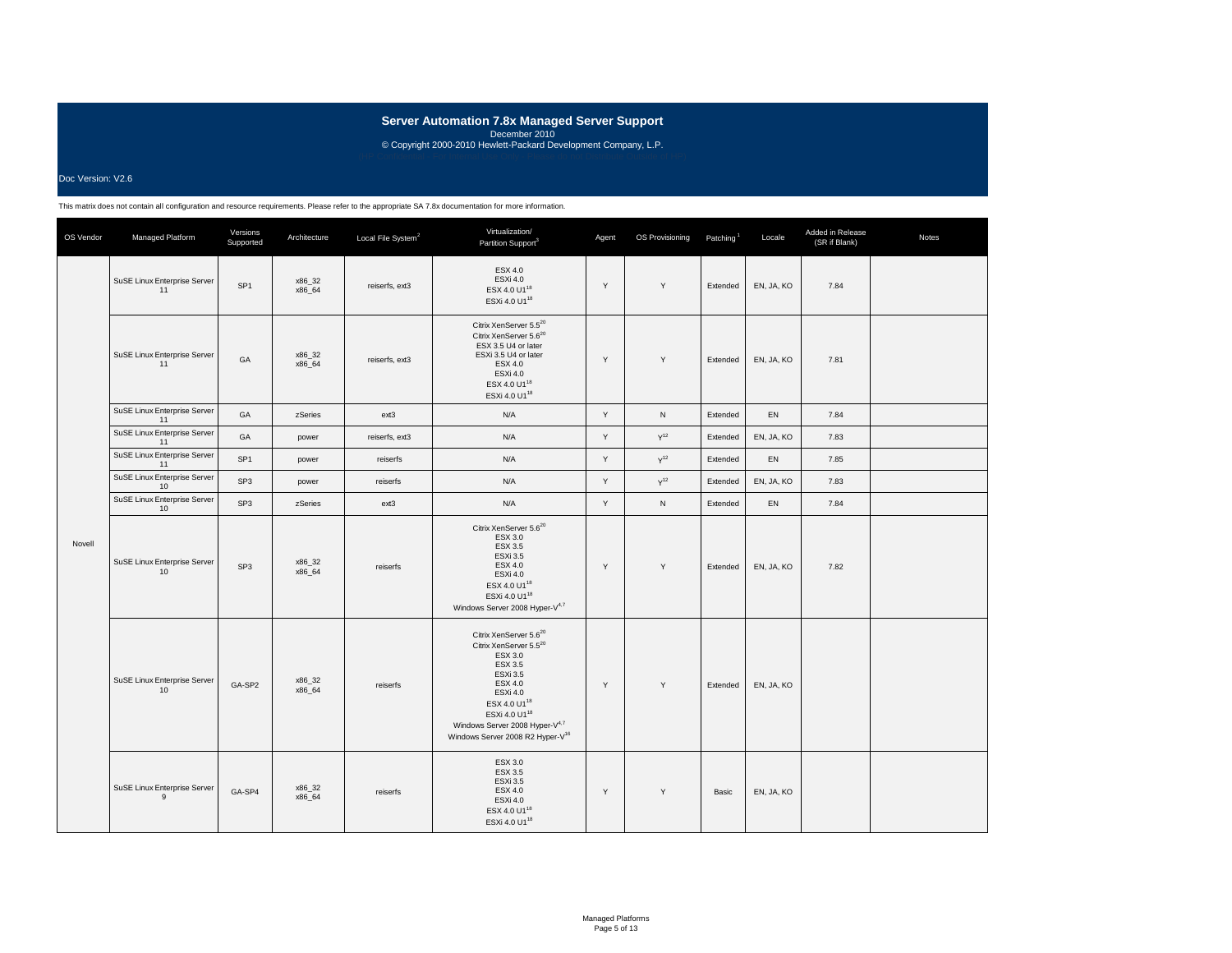### Doc Version: V2.6

| OS Vendor | Managed Platform                               | Versions<br>Supported | Architecture     | Local File System <sup>2</sup> | Virtualization/<br>Partition Support <sup>3</sup>                                                                                                                                                                                                                            | Agent | OS Provisioning | Patching <sup>1</sup> | Locale     | Added in Release<br>(SR if Blank) | Notes |
|-----------|------------------------------------------------|-----------------------|------------------|--------------------------------|------------------------------------------------------------------------------------------------------------------------------------------------------------------------------------------------------------------------------------------------------------------------------|-------|-----------------|-----------------------|------------|-----------------------------------|-------|
|           | SuSE Linux Enterprise Server<br>11             | SP <sub>1</sub>       | x86_32<br>x86 64 | reiserfs, ext3                 | ESX 4.0<br>ESXi 4.0<br>ESX 4.0 U1 <sup>18</sup><br>ESXi 4.0 U1 <sup>18</sup>                                                                                                                                                                                                 | Y     | Y               | Extended              | EN, JA, KO | 7.84                              |       |
|           | SuSE Linux Enterprise Server<br>11             | GA                    | x86 32<br>x86 64 | reiserfs, ext3                 | Citrix XenServer 5.5 <sup>20</sup><br>Citrix XenServer 5.6 <sup>20</sup><br>ESX 3.5 U4 or later<br>ESXi 3.5 U4 or later<br><b>ESX 4.0</b><br>ESXi 4.0<br>ESX 4.0 U1 <sup>18</sup><br>ESXi 4.0 U1 <sup>18</sup>                                                               | Y     | Y               | Extended              | EN, JA, KO | 7.81                              |       |
|           | SuSE Linux Enterprise Server<br>11             | GA                    | zSeries          | ext3                           | N/A                                                                                                                                                                                                                                                                          | Y     | N               | Extended              | <b>EN</b>  | 7.84                              |       |
|           | SuSE Linux Enterprise Server<br>11             | GA                    | power            | reiserfs, ext3                 | N/A                                                                                                                                                                                                                                                                          | Y     | $Y^{12}$        | Extended              | EN, JA, KO | 7.83                              |       |
|           | SuSE Linux Enterprise Server<br>11             | SP <sub>1</sub>       | power            | reiserfs                       | N/A                                                                                                                                                                                                                                                                          | Y     | $Y^{12}$        | Extended              | EN         | 7.85                              |       |
| Novell    | SuSE Linux Enterprise Server<br>10             | SP <sub>3</sub>       | power            | reiserfs                       | N/A                                                                                                                                                                                                                                                                          | Y     | $Y^{12}$        | Extended              | EN, JA, KO | 7.83                              |       |
|           | SuSE Linux Enterprise Server<br>10             | SP <sub>3</sub>       | zSeries          | ext3                           | N/A                                                                                                                                                                                                                                                                          | Y     | ${\sf N}$       | Extended              | <b>EN</b>  | 7.84                              |       |
|           | SuSE Linux Enterprise Server<br>10             | SP <sub>3</sub>       | x86 32<br>x86_64 | reiserfs                       | Citrix XenServer 5.6 <sup>20</sup><br>ESX 3.0<br>ESX 3.5<br>ESXi 3.5<br><b>ESX 4.0</b><br>ESXi 4.0<br>ESX 4.0 U1 <sup>18</sup><br>ESXi 4.0 U1 <sup>18</sup><br>Windows Server 2008 Hyper-V4,7                                                                                | Y     | Y               | Extended              | EN, JA, KO | 7.82                              |       |
|           | SuSE Linux Enterprise Server<br>10             | GA-SP2                | x86_32<br>x86 64 | reiserfs                       | Citrix XenServer 5.6 <sup>20</sup><br>Citrix XenServer 5.5 <sup>20</sup><br>ESX 3.0<br>ESX 3.5<br>ESXi 3.5<br>ESX 4.0<br>ESXi 4.0<br>ESX 4.0 U1 <sup>18</sup><br>ESXi 4.0 U1 <sup>18</sup><br>Windows Server 2008 Hyper-V4,7<br>Windows Server 2008 R2 Hyper-V <sup>16</sup> | Y     | Y               | Extended              | EN, JA, KO |                                   |       |
|           | SuSE Linux Enterprise Server<br>$\overline{9}$ | GA-SP4                | x86_32<br>x86 64 | reiserfs                       | ESX 3.0<br><b>ESX 3.5</b><br><b>ESXi 3.5</b><br><b>ESX 4.0</b><br>ESXi 4.0<br>ESX 4.0 U1 <sup>18</sup><br>ESXi 4.0 U1 <sup>18</sup>                                                                                                                                          | Y     | Y               | Basic                 | EN, JA, KO |                                   |       |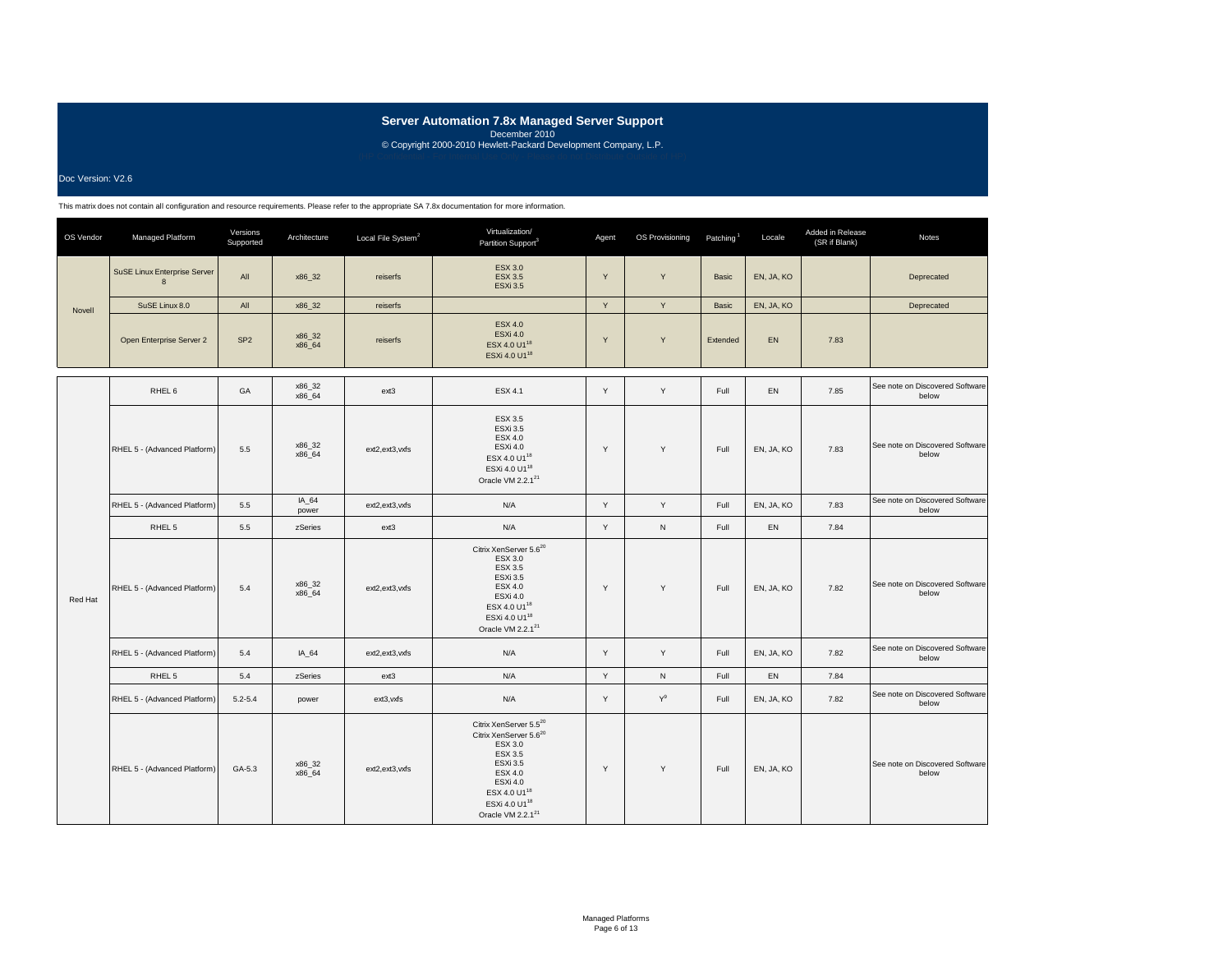Doc Version: V2.6

| OS Vendor | Managed Platform                         | Versions<br>Supported | Architecture     | Local File System <sup>2</sup> | Virtualization/<br>Partition Support <sup>3</sup>                                                                                                                                                                      | Agent | OS Provisioning | Patching <sup>1</sup> | Locale     | Added in Release<br>(SR if Blank) | Notes                                    |
|-----------|------------------------------------------|-----------------------|------------------|--------------------------------|------------------------------------------------------------------------------------------------------------------------------------------------------------------------------------------------------------------------|-------|-----------------|-----------------------|------------|-----------------------------------|------------------------------------------|
|           | <b>SuSE Linux Enterprise Server</b><br>8 | All                   | x86_32           | reiserfs                       | <b>ESX 3.0</b><br><b>ESX 3.5</b><br><b>ESXi 3.5</b>                                                                                                                                                                    | Y     | Y               | Basic                 | EN, JA, KO |                                   | Deprecated                               |
| Novell    | SuSE Linux 8.0                           | All                   | x86 32           | reiserfs                       |                                                                                                                                                                                                                        | Y     | Y               | Basic                 | EN, JA, KO |                                   | Deprecated                               |
|           | Open Enterprise Server 2                 | SP <sub>2</sub>       | x86_32<br>x86_64 | reiserfs                       | <b>ESX 4.0</b><br><b>ESXi 4.0</b><br>ESX 4.0 U1 <sup>18</sup><br>ESXi 4.0 U1 <sup>18</sup>                                                                                                                             | Y     | Y               | Extended              | EN         | 7.83                              |                                          |
|           | RHEL <sub>6</sub>                        | GA                    | x86_32<br>x86_64 | $ext{3}$                       | <b>ESX 4.1</b>                                                                                                                                                                                                         | Y     | Y               | Full                  | EN         | 7.85                              | See note on Discovered Software<br>below |
|           | RHEL 5 - (Advanced Platform)             | 5.5                   | x86_32<br>x86_64 | ext2,ext3,vxfs                 | <b>ESX 3.5</b><br>ESXi 3.5<br><b>ESX 4.0</b><br>ESXi 4.0<br>ESX 4.0 U1 <sup>18</sup><br>ESXi 4.0 U1 <sup>18</sup><br>Oracle VM 2.2.1 <sup>21</sup>                                                                     | Y     | Y               | Full                  | EN, JA, KO | 7.83                              | See note on Discovered Software<br>below |
|           | RHEL 5 - (Advanced Platform)             | 5.5                   | IA_64<br>power   | ext2,ext3,vxfs                 | N/A                                                                                                                                                                                                                    | Y     | Y               | Full                  | EN, JA, KO | 7.83                              | See note on Discovered Software<br>below |
|           | RHEL 5                                   | 5.5                   | zSeries          | ext3                           | N/A                                                                                                                                                                                                                    | Y     | ${\sf N}$       | Full                  | EN         | 7.84                              |                                          |
| Red Hat   | RHEL 5 - (Advanced Platform)             | 5.4                   | x86_32<br>x86_64 | ext2,ext3,vxfs                 | Citrix XenServer 5.6 <sup>20</sup><br>ESX 3.0<br>ESX 3.5<br>ESXi 3.5<br><b>ESX 4.0</b><br>ESXi 4.0<br>ESX 4.0 U1 <sup>18</sup><br>ESXi 4.0 U1 <sup>18</sup><br>Oracle VM 2.2.1 <sup>21</sup>                           | Y     | Y               | Full                  | EN, JA, KO | 7.82                              | See note on Discovered Software<br>below |
|           | RHEL 5 - (Advanced Platform)             | 5.4                   | IA 64            | ext2,ext3,vxfs                 | N/A                                                                                                                                                                                                                    | Y     | Y               | Full                  | EN, JA, KO | 7.82                              | See note on Discovered Software<br>below |
|           | RHEL <sub>5</sub>                        | 5.4                   | zSeries          | $ext{3}$                       | N/A                                                                                                                                                                                                                    | Y     | ${\sf N}$       | Full                  | EN         | 7.84                              |                                          |
|           | RHEL 5 - (Advanced Platform)             | $5.2 - 5.4$           | power            | ext3, vxfs                     | N/A                                                                                                                                                                                                                    | Y     | $Y^9$           | Full                  | EN, JA, KO | 7.82                              | See note on Discovered Software<br>below |
|           | RHEL 5 - (Advanced Platform)             | GA-5.3                | x86_32<br>x86 64 | ext2,ext3,vxfs                 | Citrix XenServer 5.520<br>Citrix XenServer 5.6 <sup>20</sup><br>ESX 3.0<br>ESX 3.5<br><b>ESXi 3.5</b><br>ESX 4.0<br>ESXi 4.0<br>ESX 4.0 U1 <sup>18</sup><br>ESXi 4.0 U1 <sup>18</sup><br>Oracle VM 2.2.1 <sup>21</sup> | Y     | Y               | Full                  | EN, JA, KO |                                   | See note on Discovered Software<br>below |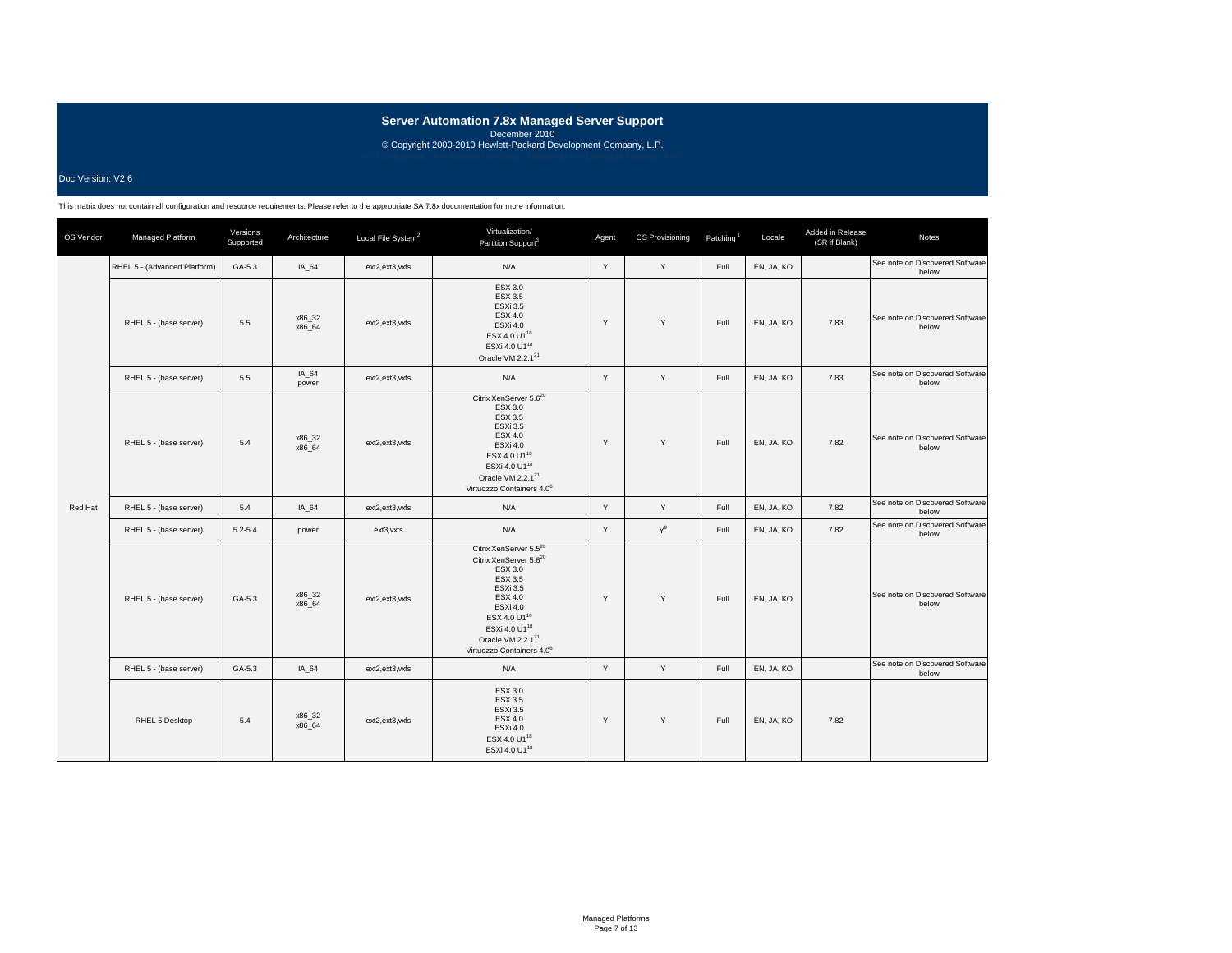### Doc Version: V2.6

| OS Vendor | Managed Platform             | Versions<br>Supported | Architecture     | Local File System <sup>2</sup> | Virtualization/<br>Partition Support <sup>3</sup>                                                                                                                                                                                                                                         | Agent | OS Provisioning | Patching <sup>1</sup> | Locale     | Added in Release<br>(SR if Blank) | <b>Notes</b>                             |
|-----------|------------------------------|-----------------------|------------------|--------------------------------|-------------------------------------------------------------------------------------------------------------------------------------------------------------------------------------------------------------------------------------------------------------------------------------------|-------|-----------------|-----------------------|------------|-----------------------------------|------------------------------------------|
|           | RHEL 5 - (Advanced Platform) | GA-5.3                | IA_64            | ext2,ext3,vxfs                 | N/A                                                                                                                                                                                                                                                                                       | Y     | Y               | Full                  | EN, JA, KO |                                   | See note on Discovered Software<br>below |
|           | RHEL 5 - (base server)       | 5.5                   | x86_32<br>x86 64 | ext2,ext3,vxfs                 | ESX 3.0<br><b>ESX 3.5</b><br><b>ESXi 3.5</b><br><b>ESX 4.0</b><br>ESXi 4.0<br>ESX 4.0 U1 <sup>18</sup><br>ESXi 4.0 U1 <sup>18</sup><br>Oracle VM 2.2.1 <sup>21</sup>                                                                                                                      | Y     | Y               | Full                  | EN, JA, KO | 7.83                              | See note on Discovered Software<br>below |
|           | RHEL 5 - (base server)       | 5.5                   | IA_64<br>power   | ext2,ext3,vxfs                 | N/A                                                                                                                                                                                                                                                                                       | Y     | Y               | Full                  | EN, JA, KO | 7.83                              | See note on Discovered Software<br>below |
|           | RHEL 5 - (base server)       | 5.4                   | x86_32<br>x86 64 | ext2,ext3,vxfs                 | Citrix XenServer 5.6 <sup>20</sup><br>ESX 3.0<br>ESX 3.5<br><b>ESXi 3.5</b><br><b>ESX 4.0</b><br>ESXi 4.0<br>ESX 4.0 U1 <sup>18</sup><br>ESXi 4.0 U1 <sup>18</sup><br>Oracle VM 2.2.1 <sup>21</sup><br>Virtuozzo Containers 4.0 <sup>6</sup>                                              | Y     | Y               | Full                  | EN, JA, KO | 7.82                              | See note on Discovered Software<br>below |
| Red Hat   | RHEL 5 - (base server)       | 5.4                   | IA 64            | ext2,ext3,vxfs                 | N/A                                                                                                                                                                                                                                                                                       | Y     | Y               | Full                  | EN, JA, KO | 7.82                              | See note on Discovered Software<br>below |
|           | RHEL 5 - (base server)       | $5.2 - 5.4$           | power            | ext3, vxfs                     | N/A                                                                                                                                                                                                                                                                                       | Y     | $Y^9$           | Full                  | EN, JA, KO | 7.82                              | See note on Discovered Software<br>below |
|           | RHEL 5 - (base server)       | GA-5.3                | x86_32<br>x86 64 | ext2,ext3,vxfs                 | Citrix XenServer 5.5 <sup>20</sup><br>Citrix XenServer 5.6 <sup>20</sup><br>ESX 3.0<br><b>ESX 3.5</b><br><b>ESXi 3.5</b><br>ESX 4.0<br><b>ESXi 4.0</b><br>ESX 4.0 U1 <sup>18</sup><br>ESXi 4.0 U1 <sup>18</sup><br>Oracle VM 2.2.1 <sup>21</sup><br>Virtuozzo Containers 4.0 <sup>6</sup> | Y     | Y               | Full                  | EN, JA, KO |                                   | See note on Discovered Software<br>below |
|           | RHEL 5 - (base server)       | GA-5.3                | IA 64            | ext2,ext3,vxfs                 | N/A                                                                                                                                                                                                                                                                                       | Y     | Y               | Full                  | EN, JA, KO |                                   | See note on Discovered Software<br>below |
|           | RHEL 5 Desktop               | 5.4                   | x86_32<br>x86 64 | ext2,ext3,vxfs                 | <b>ESX 3.0</b><br><b>ESX 3.5</b><br><b>ESXi 3.5</b><br><b>ESX 4.0</b><br>ESXi 4.0<br>ESX 4.0 U1 <sup>18</sup><br>ESXi 4.0 U1 <sup>18</sup>                                                                                                                                                | Y     | Y               | Full                  | EN, JA, KO | 7.82                              |                                          |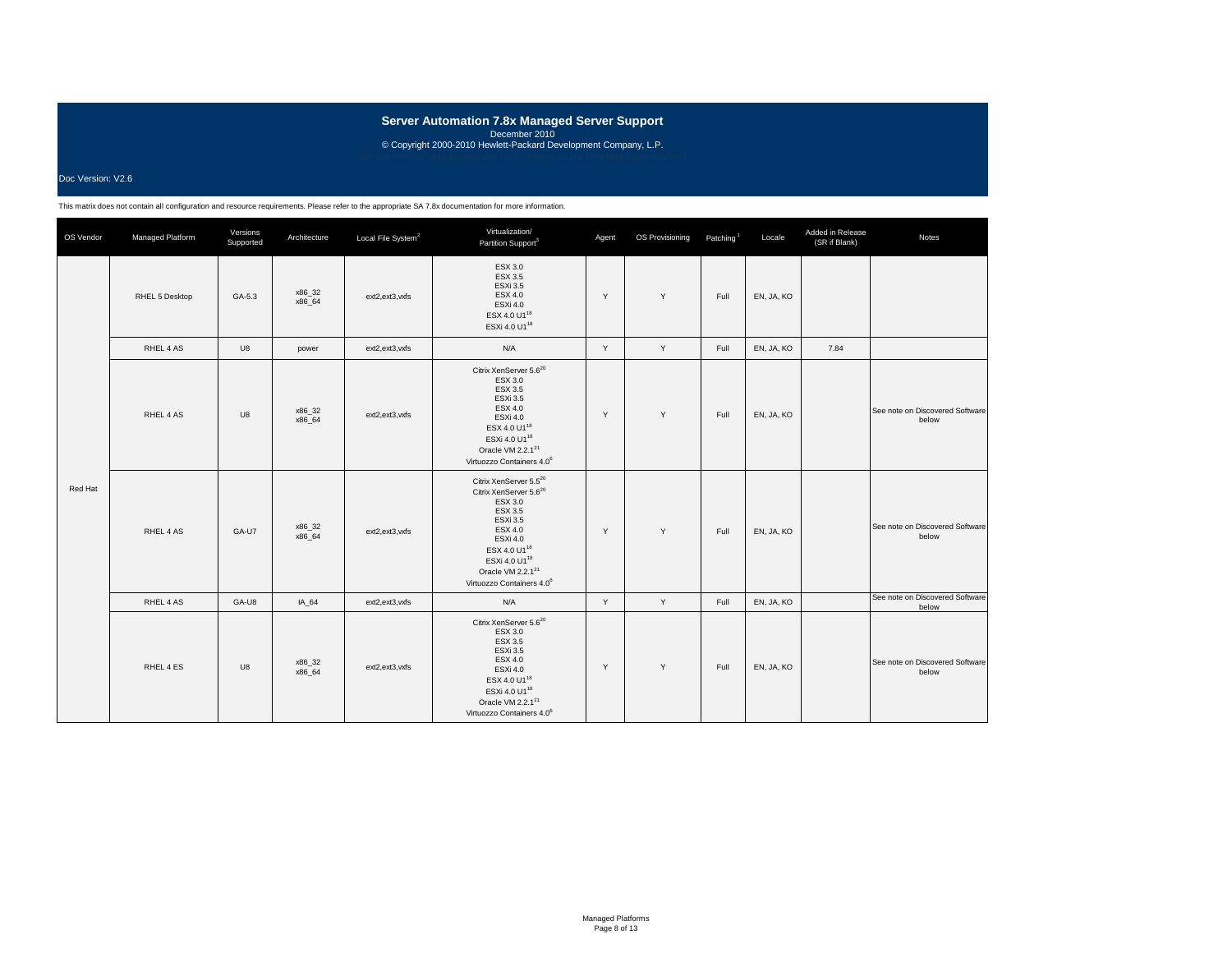### Doc Version: V2.6

| OS Vendor | Managed Platform | Versions<br>Supported | Architecture     | Local File System <sup>2</sup> | Virtualization/<br>Partition Support <sup>3</sup>                                                                                                                                                                                                                      | Agent | OS Provisioning | Patching <sup>1</sup> | Locale     | Added in Release<br>(SR if Blank) | Notes                                    |
|-----------|------------------|-----------------------|------------------|--------------------------------|------------------------------------------------------------------------------------------------------------------------------------------------------------------------------------------------------------------------------------------------------------------------|-------|-----------------|-----------------------|------------|-----------------------------------|------------------------------------------|
|           | RHEL 5 Desktop   | GA-5.3                | x86_32<br>x86 64 | ext2,ext3,vxfs                 | ESX 3.0<br>ESX 3.5<br><b>ESXi 3.5</b><br>ESX 4.0<br><b>ESXi 4.0</b><br>ESX 4.0 U1 <sup>18</sup><br>ESXi 4.0 U1 <sup>18</sup>                                                                                                                                           | Y     | Y               | Full                  | EN, JA, KO |                                   |                                          |
|           | RHEL 4 AS        | U8                    | power            | ext2,ext3,vxfs                 | N/A                                                                                                                                                                                                                                                                    | Y     | Y               | Full                  | EN, JA, KO | 7.84                              |                                          |
| Red Hat   | RHEL 4 AS        | U8                    | x86_32<br>x86_64 | ext2,ext3,vxfs                 | Citrix XenServer 5.6 <sup>20</sup><br>ESX 3.0<br>ESX 3.5<br><b>ESXi 3.5</b><br>ESX 4.0<br>ESXi 4.0<br>ESX 4.0 U1 <sup>18</sup><br>ESXi 4.0 U1 <sup>18</sup><br>Oracle VM 2.2.1 <sup>21</sup><br>Virtuozzo Containers 4.0 <sup>6</sup>                                  | Y     | Y               | Full                  | EN, JA, KO |                                   | See note on Discovered Software<br>below |
|           | RHEL 4 AS        | GA-U7                 | x86_32<br>x86 64 | ext2,ext3,vxfs                 | Citrix XenServer 5.520<br>Citrix XenServer 5.6 <sup>20</sup><br>ESX 3.0<br>ESX 3.5<br><b>ESXi 3.5</b><br><b>ESX 4.0</b><br>ESXi 4.0<br>ESX 4.0 U1 <sup>18</sup><br>ESXi 4.0 U1 <sup>18</sup><br>Oracle VM 2.2.1 <sup>21</sup><br>Virtuozzo Containers 4.0 <sup>6</sup> | Y     | Y               | Full                  | EN, JA, KO |                                   | See note on Discovered Software<br>below |
|           | RHEL 4 AS        | GA-U8                 | IA_64            | ext2,ext3,vxfs                 | N/A                                                                                                                                                                                                                                                                    | Y     | Y               | Full                  | EN, JA, KO |                                   | See note on Discovered Software<br>below |
|           | RHEL 4 ES        | U8                    | x86_32<br>x86 64 | ext2,ext3,vxfs                 | Citrix XenServer 5.6 <sup>20</sup><br>ESX 3.0<br>ESX 3.5<br><b>ESXi 3.5</b><br>ESX 4.0<br>ESXi 4.0<br>ESX 4.0 U1 <sup>18</sup><br>ESXi 4.0 U1 <sup>18</sup><br>Oracle VM 2.2.1 <sup>21</sup><br>Virtuozzo Containers 4.0 <sup>6</sup>                                  | Y     | Y               | Full                  | EN, JA, KO |                                   | See note on Discovered Software<br>below |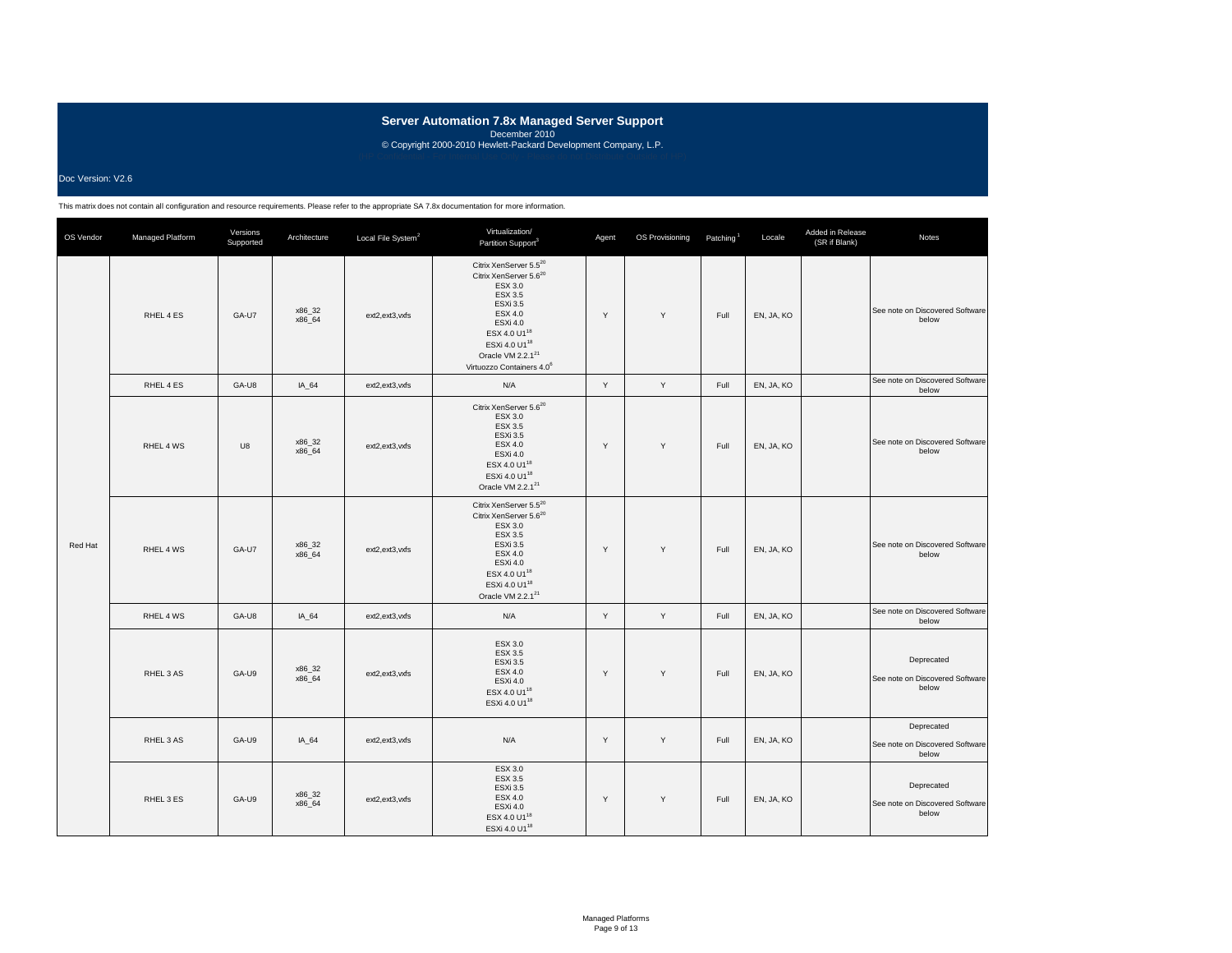### Doc Version: V2.6

| OS Vendor | Managed Platform | Versions<br>Supported | Architecture     | Local File System <sup>2</sup> | Virtualization/<br>Partition Support <sup>3</sup>                                                                                                                                                                                                                           | Agent | OS Provisioning | Patching <sup>1</sup> | Locale     | Added in Release<br>(SR if Blank) | Notes                                                  |
|-----------|------------------|-----------------------|------------------|--------------------------------|-----------------------------------------------------------------------------------------------------------------------------------------------------------------------------------------------------------------------------------------------------------------------------|-------|-----------------|-----------------------|------------|-----------------------------------|--------------------------------------------------------|
|           | RHEL 4 ES        | GA-U7                 | x86_32<br>x86 64 | ext2,ext3,vxfs                 | Citrix XenServer 5.5 <sup>20</sup><br>Citrix XenServer 5.6 <sup>20</sup><br>ESX 3.0<br>ESX 3.5<br><b>ESXi 3.5</b><br>ESX 4.0<br>ESXi 4.0<br>ESX 4.0 U1 <sup>18</sup><br>ESXi 4.0 U1 <sup>18</sup><br>Oracle VM 2.2.1 <sup>21</sup><br>Virtuozzo Containers 4.0 <sup>6</sup> | Y     | Y               | Full                  | EN, JA, KO |                                   | See note on Discovered Software<br>below               |
|           | RHEL 4 ES        | GA-U8                 | IA 64            | ext2,ext3,vxfs                 | N/A                                                                                                                                                                                                                                                                         | Υ     | Υ               | Full                  | EN, JA, KO |                                   | See note on Discovered Software<br>below               |
|           | RHEL 4 WS        | U8                    | x86_32<br>x86_64 | ext2,ext3,vxfs                 | Citrix XenServer 5.6 <sup>20</sup><br>ESX 3.0<br>ESX 3.5<br><b>ESXi 3.5</b><br><b>ESX 4.0</b><br>ESXi 4.0<br>ESX 4.0 U1 <sup>18</sup><br>ESXi 4.0 U1 <sup>18</sup><br>Oracle VM 2.2.1 <sup>21</sup>                                                                         | Y     | Y               | Full                  | EN, JA, KO |                                   | See note on Discovered Software<br>below               |
| Red Hat   | RHEL 4 WS        | GA-U7                 | x86_32<br>x86_64 | ext2,ext3,vxfs                 | Citrix XenServer 5.5 <sup>20</sup><br>Citrix XenServer 5.6 <sup>20</sup><br>ESX 3.0<br>ESX 3.5<br>ESXi 3.5<br><b>ESX 4.0</b><br>ESXi 4.0<br>ESX 4.0 U1 <sup>18</sup><br>ESXi 4.0 U1 <sup>18</sup><br>Oracle VM 2.2.1 <sup>21</sup>                                          | Y     | Y               | Full                  | EN, JA, KO |                                   | See note on Discovered Software<br>below               |
|           | RHEL 4 WS        | GA-U8                 | IA_64            | ext2,ext3,vxfs                 | N/A                                                                                                                                                                                                                                                                         | Υ     | Υ               | Full                  | EN, JA, KO |                                   | See note on Discovered Software<br>below               |
|           | RHEL 3 AS        | GA-U9                 | x86_32<br>x86_64 | ext2.ext3.vxfs                 | ESX 3.0<br><b>ESX 3.5</b><br><b>ESXi 3.5</b><br><b>ESX 4.0</b><br>ESXi 4.0<br>ESX 4.0 U1 <sup>18</sup><br>ESXi 4.0 U1 <sup>18</sup>                                                                                                                                         | Y     | Y               | Full                  | EN, JA, KO |                                   | Deprecated<br>See note on Discovered Software<br>below |
|           | RHEL 3 AS        | GA-U9                 | IA_64            | ext2,ext3,vxfs                 | N/A                                                                                                                                                                                                                                                                         | Y     | Y               | Full                  | EN, JA, KO |                                   | Deprecated<br>See note on Discovered Software<br>below |
|           | RHEL 3 ES        | GA-U9                 | x86_32<br>x86_64 | ext2,ext3,vxfs                 | ESX 3.0<br><b>ESX 3.5</b><br>ESXi 3.5<br><b>ESX 4.0</b><br>ESXi 4.0<br>ESX 4.0 U1 <sup>18</sup><br>ESXi 4.0 U1 <sup>18</sup>                                                                                                                                                | Y     | Y               | Full                  | EN, JA, KO |                                   | Deprecated<br>See note on Discovered Software<br>below |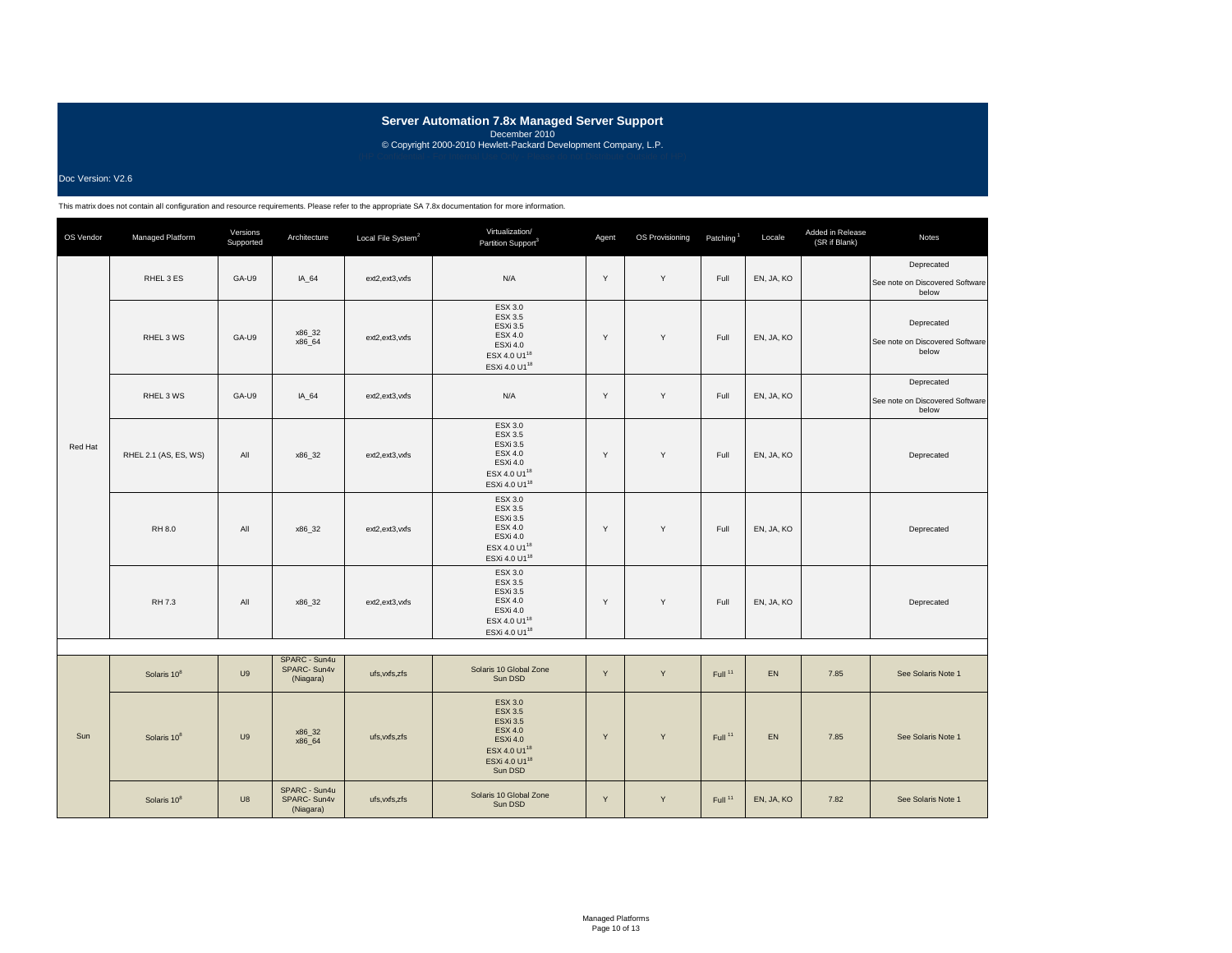### Doc Version: V2.6

| OS Vendor | Managed Platform        | Versions<br>Supported | Architecture                              | Local File System <sup>2</sup> | Virtualization/<br>Partition Support <sup>3</sup>                                                                                                            | Agent | OS Provisioning | Patching <sup>1</sup> | Locale     | Added in Release<br>(SR if Blank) | Notes                                                  |
|-----------|-------------------------|-----------------------|-------------------------------------------|--------------------------------|--------------------------------------------------------------------------------------------------------------------------------------------------------------|-------|-----------------|-----------------------|------------|-----------------------------------|--------------------------------------------------------|
|           | RHEL 3 ES               | GA-U9                 | IA 64                                     | ext2,ext3,vxfs                 | N/A                                                                                                                                                          | Y     | Y               | Full                  | EN, JA, KO |                                   | Deprecated<br>See note on Discovered Software<br>below |
|           | RHEL 3 WS               | GA-U9                 | x86_32<br>x86 64                          | ext2,ext3,vxfs                 | ESX 3.0<br>ESX 3.5<br><b>ESXi 3.5</b><br><b>ESX 4.0</b><br>ESXi 4.0<br>ESX 4.0 U1 <sup>18</sup><br>ESXi 4.0 U1 <sup>18</sup>                                 | Y     | Y               | Full                  | EN, JA, KO |                                   | Deprecated<br>See note on Discovered Software<br>below |
|           | RHEL 3 WS               | GA-U9                 | IA 64                                     | ext2,ext3,vxfs                 | N/A                                                                                                                                                          | Y     | Y               | Full                  | EN, JA, KO |                                   | Deprecated<br>See note on Discovered Software<br>below |
| Red Hat   | RHEL 2.1 (AS, ES, WS)   | All                   | x86_32                                    | ext2,ext3,vxfs                 | ESX 3.0<br>ESX 3.5<br><b>ESXi 3.5</b><br><b>ESX 4.0</b><br>ESXi 4.0<br>ESX 4.0 U1 <sup>18</sup><br>ESXi 4.0 U1 <sup>18</sup>                                 | Y     | Y               | Full                  | EN, JA, KO |                                   | Deprecated                                             |
|           | RH 8.0                  | All                   | x86_32                                    | ext2,ext3,vxfs                 | ESX 3.0<br>ESX 3.5<br>ESXi 3.5<br><b>ESX 4.0</b><br>ESXi 4.0<br>ESX 4.0 U1 <sup>18</sup><br>ESXi 4.0 U1 <sup>18</sup>                                        | Y     | Y               | Full                  | EN, JA, KO |                                   | Deprecated                                             |
|           | RH 7.3                  | All                   | x86_32                                    | ext2,ext3,vxfs                 | ESX 3.0<br>ESX 3.5<br><b>ESXi 3.5</b><br>ESX 4.0<br>ESXi 4.0<br>ESX 4.0 U1 <sup>18</sup><br>ESXi 4.0 U1 <sup>18</sup>                                        | Y     | Y               | Full                  | EN, JA, KO |                                   | Deprecated                                             |
|           |                         |                       |                                           |                                |                                                                                                                                                              |       |                 |                       |            |                                   |                                                        |
|           | Solaris 10 <sup>8</sup> | U9                    | SPARC - Sun4u<br>SPARC-Sun4v<br>(Niagara) | ufs, vxfs, zfs                 | Solaris 10 Global Zone<br>Sun DSD                                                                                                                            | Y     | Y               | Full <sup>11</sup>    | EN         | 7.85                              | See Solaris Note 1                                     |
| Sun       | Solaris 10 <sup>8</sup> | U9                    | x86_32<br>x86 64                          | ufs, vxfs, zfs                 | <b>ESX 3.0</b><br><b>ESX 3.5</b><br><b>ESXi 3.5</b><br><b>ESX 4.0</b><br><b>ESXi 4.0</b><br>ESX 4.0 U1 <sup>18</sup><br>ESXi 4.0 U1 <sup>18</sup><br>Sun DSD | Y     | Y               | Full <sup>11</sup>    | EN         | 7.85                              | See Solaris Note 1                                     |
|           | Solaris 10 <sup>8</sup> | U8                    | SPARC - Sun4u<br>SPARC-Sun4v<br>(Niagara) | ufs.vxfs.zfs                   | Solaris 10 Global Zone<br>Sun DSD                                                                                                                            | Y     | Y               | Full <sup>11</sup>    | EN, JA, KO | 7.82                              | See Solaris Note 1                                     |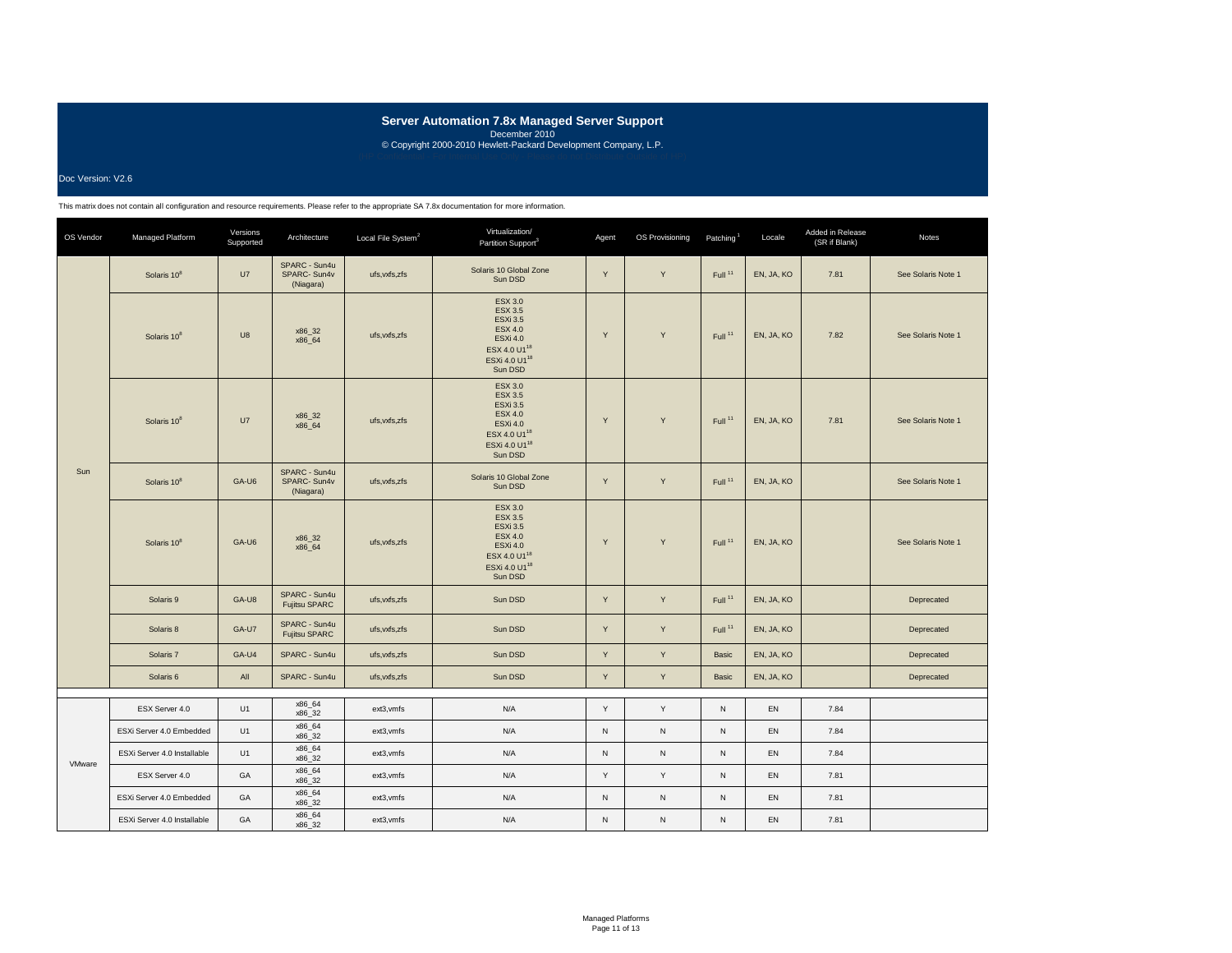### Doc Version: V2.6

| OS Vendor | Managed Platform            | Versions<br>Supported | Architecture                              | Local File System <sup>2</sup> | Virtualization/<br>Partition Support <sup>3</sup>                                                                                                            | Agent        | OS Provisioning | Patching <sup>1</sup> | Locale     | Added in Release<br>(SR if Blank) | <b>Notes</b>       |
|-----------|-----------------------------|-----------------------|-------------------------------------------|--------------------------------|--------------------------------------------------------------------------------------------------------------------------------------------------------------|--------------|-----------------|-----------------------|------------|-----------------------------------|--------------------|
|           | Solaris 10 <sup>8</sup>     | U7                    | SPARC - Sun4u<br>SPARC-Sun4v<br>(Niagara) | ufs.vxfs.zfs                   | Solaris 10 Global Zone<br>Sun DSD                                                                                                                            | Y            | Y               | Full <sup>11</sup>    | EN, JA, KO | 7.81                              | See Solaris Note 1 |
|           | Solaris 10 <sup>8</sup>     | U8                    | x86_32<br>x86_64                          | ufs, vxfs, zfs                 | <b>ESX 3.0</b><br><b>ESX 3.5</b><br><b>ESXi 3.5</b><br><b>ESX 4.0</b><br><b>ESXi 4.0</b><br>ESX 4.0 U1 <sup>18</sup><br>ESXi 4.0 U1 <sup>18</sup><br>Sun DSD | Y            | Y               | Full <sup>11</sup>    | EN, JA, KO | 7.82                              | See Solaris Note 1 |
|           | Solaris 10 <sup>8</sup>     | U7                    | x86_32<br>x86 64                          | ufs, vxfs, zfs                 | <b>ESX 3.0</b><br><b>ESX 3.5</b><br><b>ESXi 3.5</b><br><b>ESX 4.0</b><br><b>ESXi 4.0</b><br>ESX 4.0 U1 <sup>18</sup><br>ESXi 4.0 U1 <sup>18</sup><br>Sun DSD | Y            | Y               | Full <sup>11</sup>    | EN, JA, KO | 7.81                              | See Solaris Note 1 |
| Sun       | Solaris 10 <sup>8</sup>     | GA-U6                 | SPARC - Sun4u<br>SPARC-Sun4v<br>(Niagara) | ufs, vxfs, zfs                 | Solaris 10 Global Zone<br>Sun DSD                                                                                                                            | Y            | Y               | Full <sup>11</sup>    | EN, JA, KO |                                   | See Solaris Note 1 |
|           | Solaris 10 <sup>8</sup>     | GA-U6                 | x86 32<br>x86_64                          | ufs.vxfs.zfs                   | <b>ESX 3.0</b><br><b>ESX 3.5</b><br><b>ESXi 3.5</b><br><b>ESX 4.0</b><br><b>ESXi 4.0</b><br>ESX 4.0 U1 <sup>18</sup><br>ESXi 4.0 U1 <sup>18</sup><br>Sun DSD | Y            | Y               | Full <sup>11</sup>    | EN, JA, KO |                                   | See Solaris Note 1 |
|           | Solaris 9                   | GA-U8                 | SPARC - Sun4u<br><b>Fujitsu SPARC</b>     | ufs, vxfs, zfs                 | Sun DSD                                                                                                                                                      | Y            | Y               | Full <sup>11</sup>    | EN, JA, KO |                                   | Deprecated         |
|           | Solaris 8                   | GA-U7                 | SPARC - Sun4u<br>Fujitsu SPARC            | ufs, vxfs, zfs                 | Sun DSD                                                                                                                                                      | Y            | Y               | Full <sup>11</sup>    | EN, JA, KO |                                   | Deprecated         |
|           | Solaris 7                   | GA-U4                 | SPARC - Sun4u                             | ufs, vxfs, zfs                 | Sun DSD                                                                                                                                                      | Y            | Y               | Basic                 | EN, JA, KO |                                   | Deprecated         |
|           | Solaris <sub>6</sub>        | All                   | SPARC - Sun4u                             | ufs, vxfs, zfs                 | Sun DSD                                                                                                                                                      | Y            | Y               | Basic                 | EN, JA, KO |                                   | Deprecated         |
|           | ESX Server 4.0              | U1                    | x86_64                                    | ext3, vmfs                     | N/A                                                                                                                                                          | Y            | Y               | N                     | EN         | 7.84                              |                    |
|           | ESXi Server 4.0 Embedded    | U1                    | x86_32<br>x86 64<br>x86_32                | ext3, vmfs                     | N/A                                                                                                                                                          | $\mathsf{N}$ | $\mathsf{N}$    | N                     | <b>EN</b>  | 7.84                              |                    |
| VMware    | ESXi Server 4.0 Installable | U1                    | x86_64<br>x86 32                          | ext3, vmfs                     | N/A                                                                                                                                                          | ${\sf N}$    | ${\sf N}$       | N                     | EN         | 7.84                              |                    |
|           | ESX Server 4.0              | GA                    | x86_64<br>x86_32                          | ext3, vmfs                     | N/A                                                                                                                                                          | Y            | Y               | N                     | EN         | 7.81                              |                    |
|           | ESXi Server 4.0 Embedded    | GA                    | x86 64<br>x86 32                          | ext3, vmfs                     | N/A                                                                                                                                                          | ${\sf N}$    | $\mathsf{N}$    | N                     | EN         | 7.81                              |                    |
|           | ESXi Server 4.0 Installable | GA                    | x86 64<br>x86 32                          | ext3, vmfs                     | N/A                                                                                                                                                          | N            | ${\sf N}$       | ${\sf N}$             | <b>EN</b>  | 7.81                              |                    |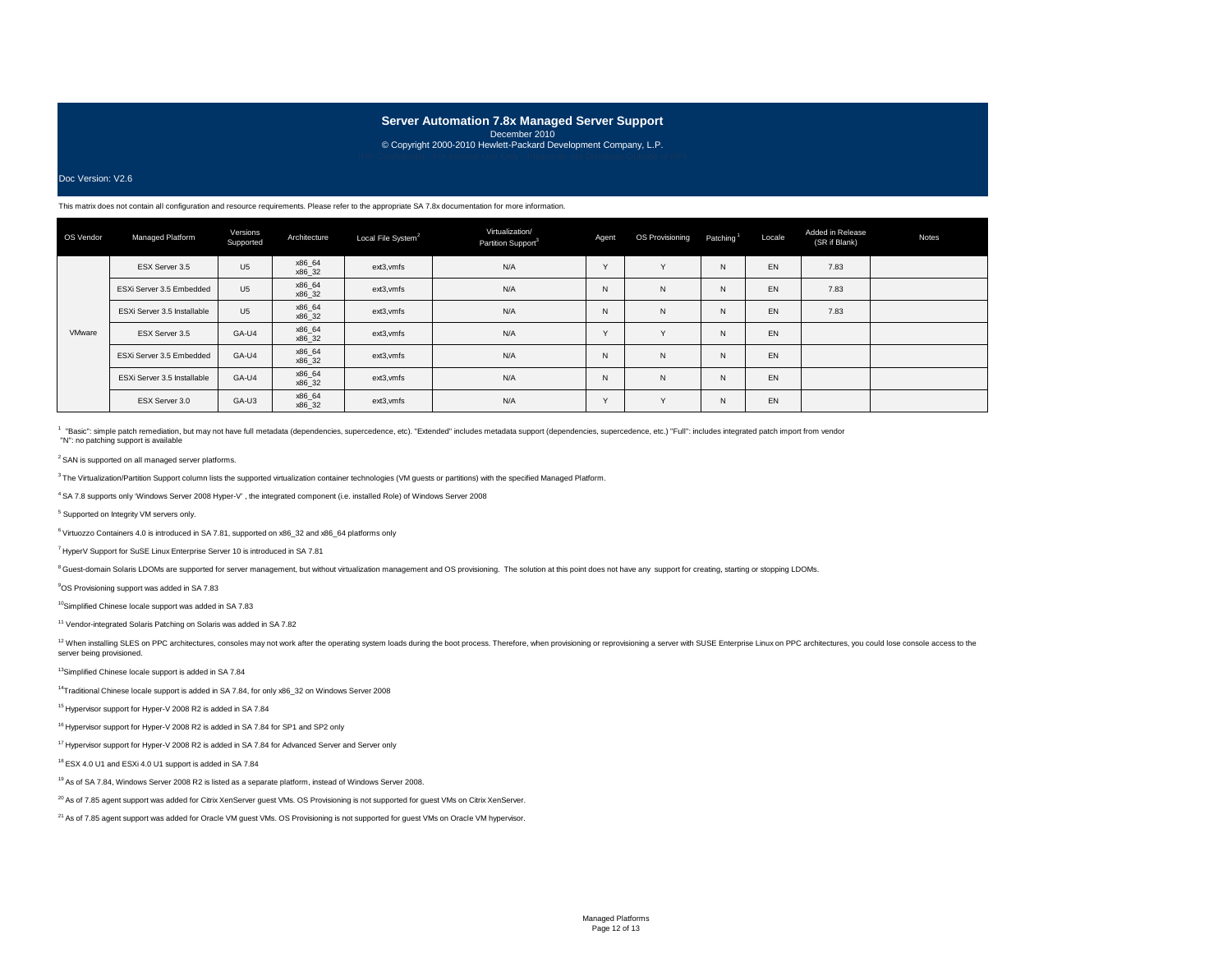# **Server Automation 7.8x Managed Server Support**

December 2010 © Copyright 2000-2010 Hewlett-Packard Development Company, L.P.

### Doc Version: V2.6

#### This matrix does not contain all configuration and resource requirements. Please refer to the appropriate SA 7.8x documentation for more information.

| OS Vendor | Managed Platform            | Versions<br>Supported | Architecture     | Local File System <sup>2</sup> | Virtualization/<br>Partition Support <sup>3</sup> | Agent  | OS Provisioning | Patching <sup>1</sup> | Locale | Added in Release<br>(SR if Blank) | Notes |
|-----------|-----------------------------|-----------------------|------------------|--------------------------------|---------------------------------------------------|--------|-----------------|-----------------------|--------|-----------------------------------|-------|
|           | ESX Server 3.5              | U <sub>5</sub>        | x86_64<br>x86 32 | ext3, vmfs                     | N/A                                               | $\vee$ | $\checkmark$    | N                     | EN     | 7.83                              |       |
|           | ESXi Server 3.5 Embedded    | U <sub>5</sub>        | x86 64<br>x86 32 | ext3, vmfs                     | N/A                                               | N      | $\mathsf{N}$    | N                     | EN     | 7.83                              |       |
| VMware    | ESXi Server 3.5 Installable | U <sub>5</sub>        | x86_64<br>x86 32 | ext3, vmfs                     | N/A                                               | N      | $\mathsf{N}$    | N                     | EN     | 7.83                              |       |
|           | ESX Server 3.5              | GA-U4                 | x86 64<br>x86 32 | ext3, vmfs                     | N/A                                               | $\vee$ | $\vee$          | N                     | EN     |                                   |       |
|           | ESXi Server 3.5 Embedded    | GA-U4                 | x86_64<br>x86 32 | ext3, vmfs                     | N/A                                               | N      | $\mathsf{N}$    | N                     | EN     |                                   |       |
|           | ESXi Server 3.5 Installable | GA-U4                 | x86_64<br>x86_32 | ext3.vmfs                      | N/A                                               | N      | $\mathsf{N}$    | N                     | EN     |                                   |       |
|           | ESX Server 3.0              | GA-U3                 | x86 64<br>x86 32 | ext3, vmfs                     | N/A                                               | $\vee$ | $\vee$          | N                     | EN     |                                   |       |

<sup>1</sup> "Basic": simple patch remediation, but may not have full metadata (dependencies, supercedence, etc). "Extended" includes metadata support (dependencies, supercedence, etc.) "Full": includes integrated patch import from "N": no patching support is available

 $2$  SAN is supported on all managed server platforms.

<sup>3</sup> The Virtualization/Partition Support column lists the supported virtualization container technologies (VM guests or partitions) with the specified Managed Platform.

4 SA 7.8 supports only 'Windows Server 2008 Hyper-V' , the integrated component (i.e. installed Role) of Windows Server 2008

5 Supported on Integrity VM servers only.

6 Virtuozzo Containers 4.0 is introduced in SA 7.81, supported on x86\_32 and x86\_64 platforms only

7 HyperV Support for SuSE Linux Enterprise Server 10 is introduced in SA 7.81

<sup>8</sup> Guest-domain Solaris LDOMs are supported for server management, but without virtualization management and OS provisioning. The solution at this point does not have any support for creating, starting or stopping LDOMs.

9 OS Provisioning support was added in SA 7.83

10Simplified Chinese locale support was added in SA 7.83

11 Vendor-integrated Solaris Patching on Solaris was added in SA 7.82

<sup>12</sup> When installing SLES on PPC architectures, consoles may not work after the operating system loads during the boot process. Therefore, when provisioning or reprovisioning a server with SUSE Enterprise Linux on PPC arch server being provisioned.

13Simplified Chinese locale support is added in SA 7.84

14Traditional Chinese locale support is added in SA 7.84, for only x86\_32 on Windows Server 2008

15 Hypervisor support for Hyper-V 2008 R2 is added in SA 7.84

16 Hypervisor support for Hyper-V 2008 R2 is added in SA 7.84 for SP1 and SP2 only

<sup>17</sup> Hypervisor support for Hyper-V 2008 R2 is added in SA 7.84 for Advanced Server and Server only

18 ESX 4.0 U1 and ESXi 4.0 U1 support is added in SA 7.84

<sup>19</sup> As of SA 7.84, Windows Server 2008 R2 is listed as a separate platform, instead of Windows Server 2008.

<sup>20</sup> As of 7.85 agent support was added for Citrix XenServer guest VMs. OS Provisioning is not supported for guest VMs on Citrix XenServer.

<sup>21</sup> As of 7.85 agent support was added for Oracle VM guest VMs. OS Provisioning is not supported for guest VMs on Oracle VM hypervisor.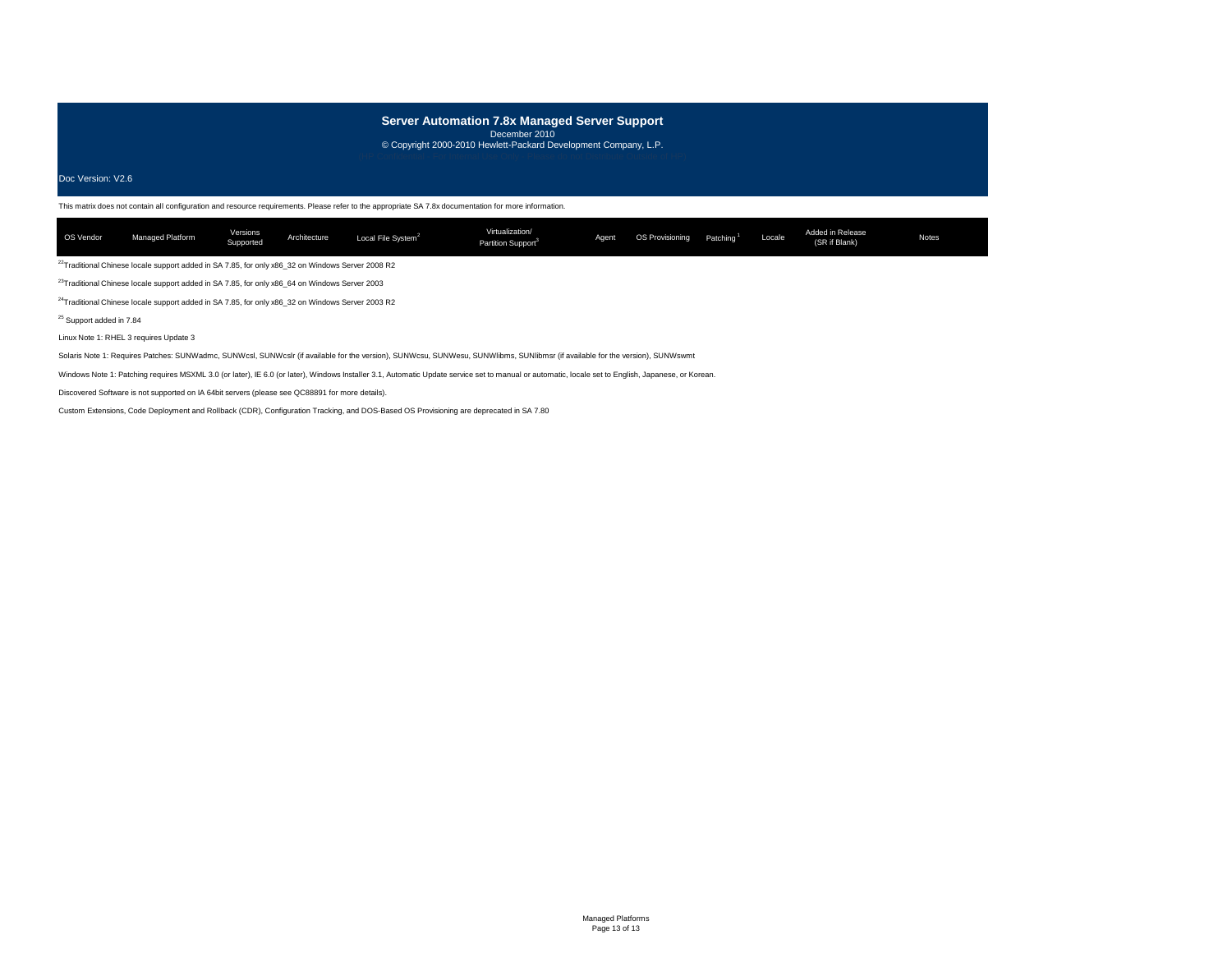# **Server Automation 7.8x Managed Server Support**

December 2010 © Copyright 2000-2010 Hewlett-Packard Development Company, L.P.

Doc Version: V2.6

This matrix does not contain all configuration and resource requirements. Please refer to the appropriate SA 7.8x documentation for more information.

| OS Vendor | Managed Platform | Versions<br>Supported | Architecture | Local File System <sup>2</sup> | Virtualization/<br>Partition Support <sup>3</sup> | Agent | <b>OS Provisioning</b> | Patching <sup>1</sup> | Locale | Added in Release<br>(SR if Blank) | Notes |
|-----------|------------------|-----------------------|--------------|--------------------------------|---------------------------------------------------|-------|------------------------|-----------------------|--------|-----------------------------------|-------|
|           |                  |                       |              |                                |                                                   |       |                        |                       |        |                                   |       |

 $^{22}$ Traditional Chinese locale support added in SA 7.85, for only x86\_32 on Windows Server 2008 R2

23Traditional Chinese locale support added in SA 7.85, for only x86\_64 on Windows Server 2003

<sup>24</sup>Traditional Chinese locale support added in SA 7.85, for only x86\_32 on Windows Server 2003 R2

25 Support added in 7.84

Linux Note 1: RHEL 3 requires Update 3

Solaris Note 1: Requires Patches: SUNWadmc, SUNWcsl, SUNWcslr (if available for the version), SUNWcsu, SUNWesu, SUNWlibms, SUNIibmsr (if available for the version), SUNWswmt

Windows Note 1: Patching requires MSXML 3.0 (or later), IE 6.0 (or later), Windows Installer 3.1, Automatic Update service set to manual or automatic, locale set to English, Japanese, or Korean.

Discovered Software is not supported on IA 64bit servers (please see QC88891 for more details).

Custom Extensions, Code Deployment and Rollback (CDR), Configuration Tracking, and DOS-Based OS Provisioning are deprecated in SA 7.80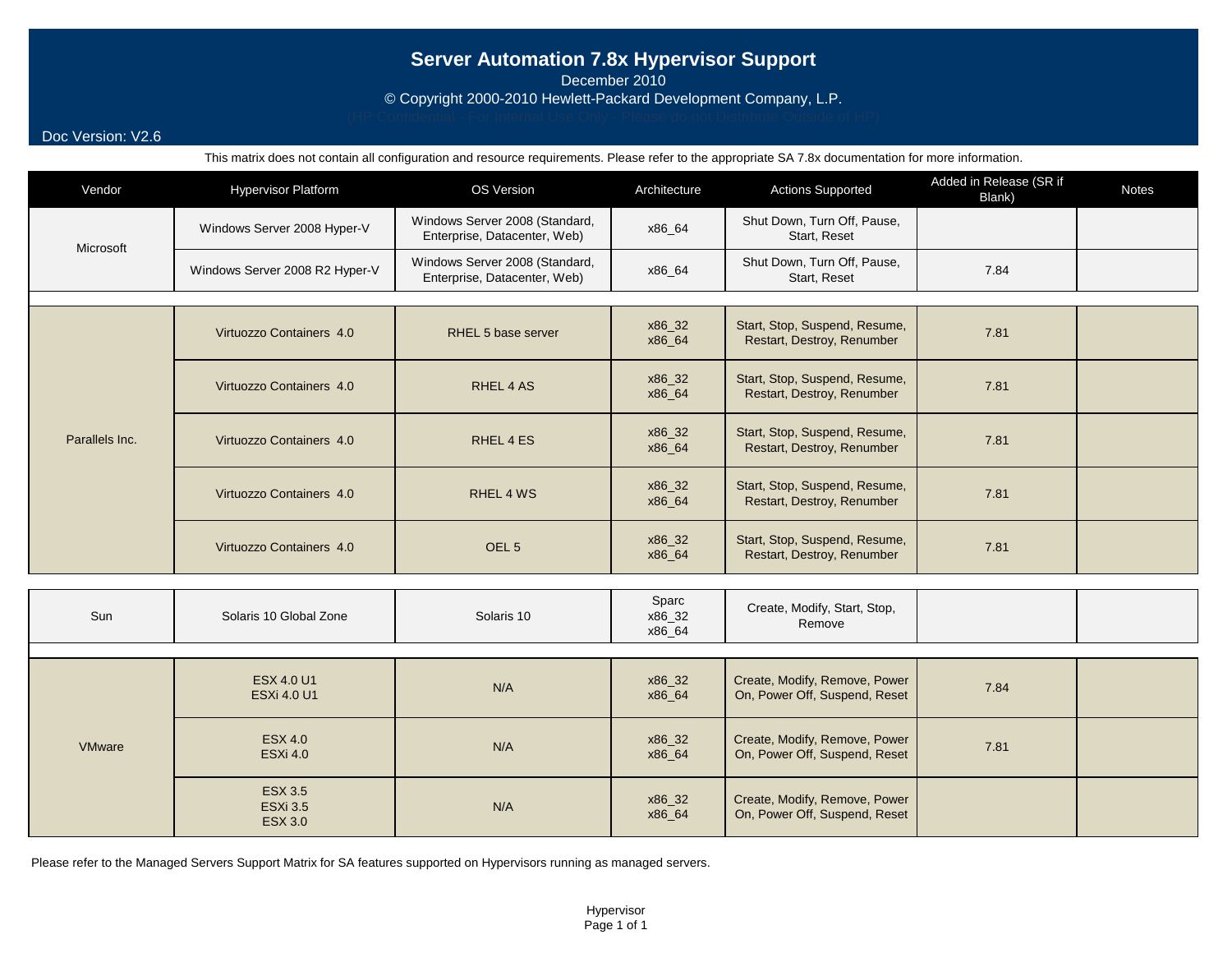# **Server Automation 7.8x Hypervisor Support**

December 2010

© Copyright 2000-2010 Hewlett-Packard Development Company, L.P.

## Doc Version: V2.6

This matrix does not contain all configuration and resource requirements. Please refer to the appropriate SA 7.8x documentation for more information.

| Vendor         | <b>Hypervisor Platform</b>                          | OS Version                                                     |                           | <b>Actions Supported</b>                                       | Added in Release (SR if<br>Blank) | <b>Notes</b> |
|----------------|-----------------------------------------------------|----------------------------------------------------------------|---------------------------|----------------------------------------------------------------|-----------------------------------|--------------|
| Microsoft      | Windows Server 2008 Hyper-V                         | Windows Server 2008 (Standard,<br>Enterprise, Datacenter, Web) | x86_64                    | Shut Down, Turn Off, Pause,<br>Start, Reset                    |                                   |              |
|                | Windows Server 2008 R2 Hyper-V                      | Windows Server 2008 (Standard,<br>Enterprise, Datacenter, Web) | x86_64                    | Shut Down, Turn Off, Pause,<br>Start, Reset                    | 7.84                              |              |
|                |                                                     |                                                                |                           |                                                                |                                   |              |
|                | Virtuozzo Containers 4.0                            | RHEL 5 base server                                             | x86_32<br>x86_64          | Start, Stop, Suspend, Resume,<br>Restart, Destroy, Renumber    | 7.81                              |              |
|                | Virtuozzo Containers 4.0                            | RHEL 4 AS                                                      | x86_32<br>x86_64          | Start, Stop, Suspend, Resume,<br>Restart, Destroy, Renumber    | 7.81                              |              |
| Parallels Inc. | Virtuozzo Containers 4.0                            | RHEL 4 ES                                                      | x86_32<br>x86_64          | Start, Stop, Suspend, Resume,<br>Restart, Destroy, Renumber    | 7.81                              |              |
|                | Virtuozzo Containers 4.0                            | RHEL 4 WS                                                      | x86_32<br>x86_64          | Start, Stop, Suspend, Resume,<br>Restart, Destroy, Renumber    | 7.81                              |              |
|                | Virtuozzo Containers 4.0                            | OEL <sub>5</sub>                                               | x86_32<br>x86_64          | Start, Stop, Suspend, Resume,<br>Restart, Destroy, Renumber    | 7.81                              |              |
|                |                                                     |                                                                |                           |                                                                |                                   |              |
| Sun            | Solaris 10 Global Zone                              | Solaris 10                                                     | Sparc<br>x86_32<br>x86_64 | Create, Modify, Start, Stop,<br>Remove                         |                                   |              |
|                |                                                     |                                                                |                           |                                                                |                                   |              |
|                | <b>ESX 4.0 U1</b><br><b>ESXi 4.0 U1</b>             | N/A                                                            | x86_32<br>x86_64          | Create, Modify, Remove, Power<br>On, Power Off, Suspend, Reset | 7.84                              |              |
| VMware         | <b>ESX 4.0</b><br><b>ESXi 4.0</b>                   | N/A                                                            | x86_32<br>x86_64          | Create, Modify, Remove, Power<br>On, Power Off, Suspend, Reset | 7.81                              |              |
|                | <b>ESX 3.5</b><br><b>ESXi 3.5</b><br><b>ESX 3.0</b> | N/A                                                            | x86_32<br>x86_64          | Create, Modify, Remove, Power<br>On, Power Off, Suspend, Reset |                                   |              |

Please refer to the Managed Servers Support Matrix for SA features supported on Hypervisors running as managed servers.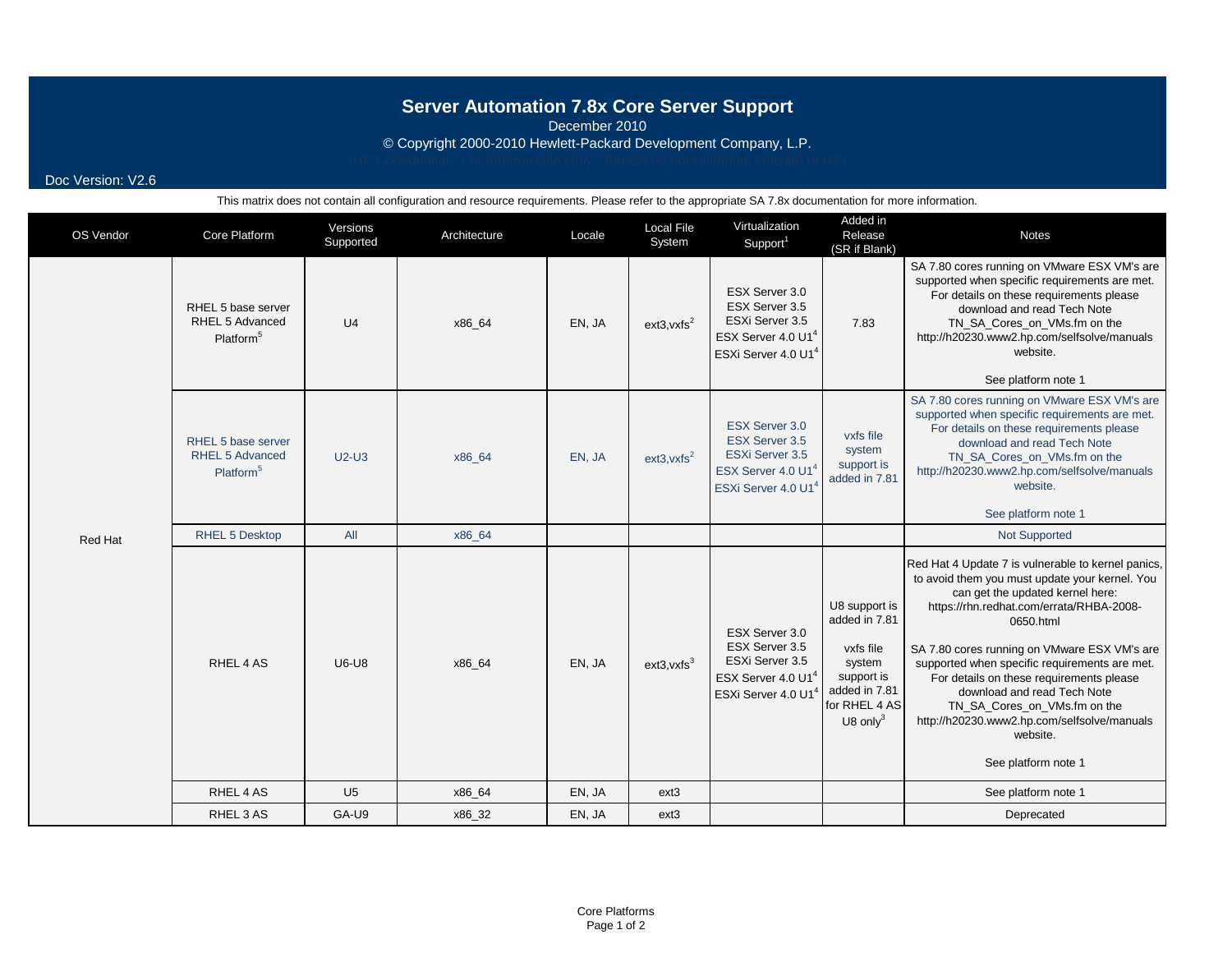# **Server Automation 7.8x Core Server Support**

December 2010

© Copyright 2000-2010 Hewlett-Packard Development Company, L.P.

Doc Version: V2.6

| OS Vendor | Core Platform                                                         | Versions<br>Supported | Architecture     | Locale | <b>Local File</b><br>System | Virtualization<br>Support <sup>1</sup>                                                                                                                                         | Added in<br>Release<br>(SR if Blank)                                                                                 | <b>Notes</b>                                                                                                                                                                                                                                                                                                                                                                                                                                                                                    |
|-----------|-----------------------------------------------------------------------|-----------------------|------------------|--------|-----------------------------|--------------------------------------------------------------------------------------------------------------------------------------------------------------------------------|----------------------------------------------------------------------------------------------------------------------|-------------------------------------------------------------------------------------------------------------------------------------------------------------------------------------------------------------------------------------------------------------------------------------------------------------------------------------------------------------------------------------------------------------------------------------------------------------------------------------------------|
|           | RHEL 5 base server<br>RHEL 5 Advanced<br>Platform <sup>5</sup>        | U <sub>4</sub>        | x86_64           | EN, JA | $ext{3,vxfs}^2$             | ESX Server 3.0<br>ESX Server 3.5<br>ESXi Server 3.5<br>ESX Server 4.0 U1 <sup>4</sup><br>ESXi Server 4.0 U1 <sup>4</sup>                                                       | 7.83                                                                                                                 | SA 7.80 cores running on VMware ESX VM's are<br>supported when specific requirements are met.<br>For details on these requirements please<br>download and read Tech Note<br>TN_SA_Cores_on_VMs.fm on the<br>http://h20230.www2.hp.com/selfsolve/manuals<br>website.<br>See platform note 1                                                                                                                                                                                                      |
|           | RHEL 5 base server<br><b>RHEL 5 Advanced</b><br>Platform <sup>5</sup> | $U2-U3$               | x86 64<br>EN, JA |        | $ext{3,vxfs}^2$             | ESX Server 3.0<br>vxfs file<br>ESX Server 3.5<br>system<br>ESXi Server 3.5<br>support is<br>ESX Server 4.0 U1 <sup>4</sup><br>added in 7.81<br>ESXi Server 4.0 U1 <sup>4</sup> |                                                                                                                      | SA 7.80 cores running on VMware ESX VM's are<br>supported when specific requirements are met.<br>For details on these requirements please<br>download and read Tech Note<br>TN SA Cores on VMs.fm on the<br>http://h20230.www2.hp.com/selfsolve/manuals<br>website.<br>See platform note 1                                                                                                                                                                                                      |
| Red Hat   | RHEL 5 Desktop                                                        | All                   | x86_64           |        |                             |                                                                                                                                                                                |                                                                                                                      | <b>Not Supported</b>                                                                                                                                                                                                                                                                                                                                                                                                                                                                            |
|           | RHEL 4 AS                                                             | <b>U6-U8</b>          | x86_64           | EN, JA | $ext{3,vxfs}^3$             | ESX Server 3.0<br>ESX Server 3.5<br>ESXi Server 3.5<br>ESX Server 4.0 U1 <sup>4</sup><br>ESXi Server 4.0 U1 <sup>4</sup>                                                       | U8 support is<br>added in 7.81<br>vxfs file<br>system<br>support is<br>added in 7.81<br>for RHEL 4 AS<br>U8 only $3$ | Red Hat 4 Update 7 is vulnerable to kernel panics,<br>to avoid them you must update your kernel. You<br>can get the updated kernel here:<br>https://rhn.redhat.com/errata/RHBA-2008-<br>0650.html<br>SA 7.80 cores running on VMware ESX VM's are<br>supported when specific requirements are met.<br>For details on these requirements please<br>download and read Tech Note<br>TN SA Cores on VMs.fm on the<br>http://h20230.www2.hp.com/selfsolve/manuals<br>website.<br>See platform note 1 |
|           | RHEL 4 AS                                                             | U <sub>5</sub>        | x86_64           | EN, JA | ext <sub>3</sub>            |                                                                                                                                                                                |                                                                                                                      | See platform note 1                                                                                                                                                                                                                                                                                                                                                                                                                                                                             |
|           | RHEL 3 AS                                                             | GA-U9                 | x86_32           | EN, JA | ext <sub>3</sub>            |                                                                                                                                                                                |                                                                                                                      | Deprecated                                                                                                                                                                                                                                                                                                                                                                                                                                                                                      |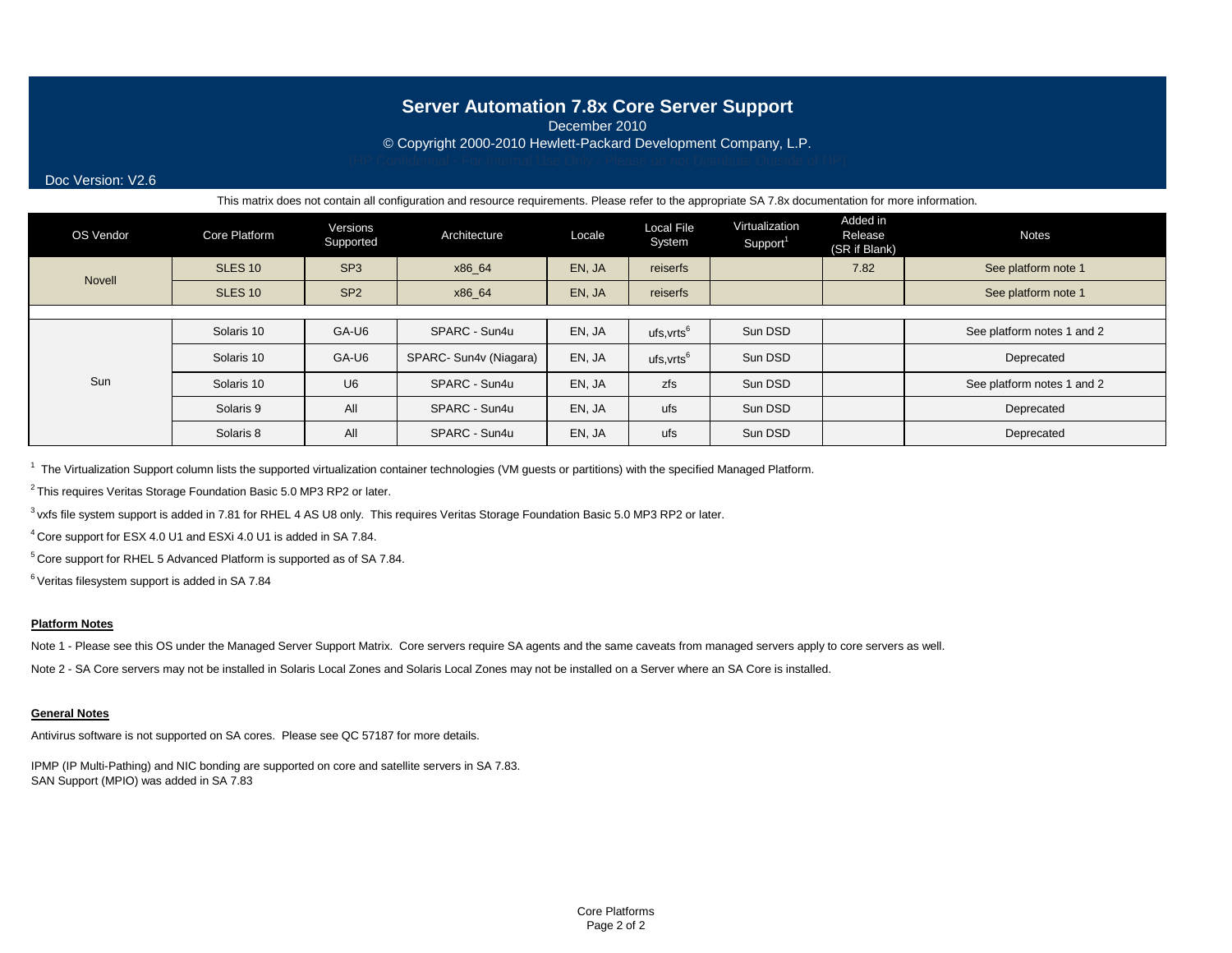## **Server Automation 7.8x Core Server Support**

December 2010

© Copyright 2000-2010 Hewlett-Packard Development Company, L.P.

Doc Version: V2.6

This matrix does not contain all configuration and resource requirements. Please refer to the appropriate SA 7.8x documentation for more information.

| OS Vendor | Core Platform      | Versions<br>Supported | Architecture           | Locale | <b>Local File</b><br>System | Virtualization<br>Support <sup>1</sup> | Added in<br>Release<br>(SR if Blank) | <b>Notes</b>               |  |  |
|-----------|--------------------|-----------------------|------------------------|--------|-----------------------------|----------------------------------------|--------------------------------------|----------------------------|--|--|
| Novell    | SLES <sub>10</sub> | SP <sub>3</sub>       | x86_64                 | EN, JA | reiserfs                    |                                        | 7.82                                 | See platform note 1        |  |  |
|           | <b>SLES 10</b>     | SP <sub>2</sub>       | x86 64                 | EN, JA | reiserfs                    |                                        |                                      | See platform note 1        |  |  |
|           |                    |                       |                        |        |                             |                                        |                                      |                            |  |  |
|           | Solaris 10         | GA-U6                 | SPARC - Sun4u          | EN, JA | ufs,vrts <sup>6</sup>       | Sun DSD                                |                                      | See platform notes 1 and 2 |  |  |
|           | Solaris 10         | GA-U6                 | SPARC- Sun4v (Niagara) | EN, JA | ufs,vrts <sup>6</sup>       | Sun DSD                                |                                      | Deprecated                 |  |  |
| Sun       | Solaris 10         | U <sub>6</sub>        | SPARC - Sun4u          | EN, JA | zfs                         | Sun DSD                                |                                      | See platform notes 1 and 2 |  |  |
|           | Solaris 9          | All                   | SPARC - Sun4u          | EN, JA | ufs                         | Sun DSD                                |                                      | Deprecated                 |  |  |
|           | Solaris 8          | All                   | SPARC - Sun4u          | EN, JA | ufs                         | Sun DSD                                |                                      | Deprecated                 |  |  |

<sup>1</sup> The Virtualization Support column lists the supported virtualization container technologies (VM guests or partitions) with the specified Managed Platform.

 $2$  This requires Veritas Storage Foundation Basic 5.0 MP3 RP2 or later.

<sup>3</sup> vxfs file system support is added in 7.81 for RHEL 4 AS U8 only. This requires Veritas Storage Foundation Basic 5.0 MP3 RP2 or later.

4 Core support for ESX 4.0 U1 and ESXi 4.0 U1 is added in SA 7.84.

5 Core support for RHEL 5 Advanced Platform is supported as of SA 7.84.

 $6$  Veritas filesystem support is added in SA 7.84

### **Platform Notes**

Note 1 - Please see this OS under the Managed Server Support Matrix. Core servers require SA agents and the same caveats from managed servers apply to core servers as well.

Note 2 - SA Core servers may not be installed in Solaris Local Zones and Solaris Local Zones may not be installed on a Server where an SA Core is installed.

### **General Notes**

Antivirus software is not supported on SA cores. Please see QC 57187 for more details.

IPMP (IP Multi-Pathing) and NIC bonding are supported on core and satellite servers in SA 7.83. SAN Support (MPIO) was added in SA 7.83

> Core Platforms Page 2 of 2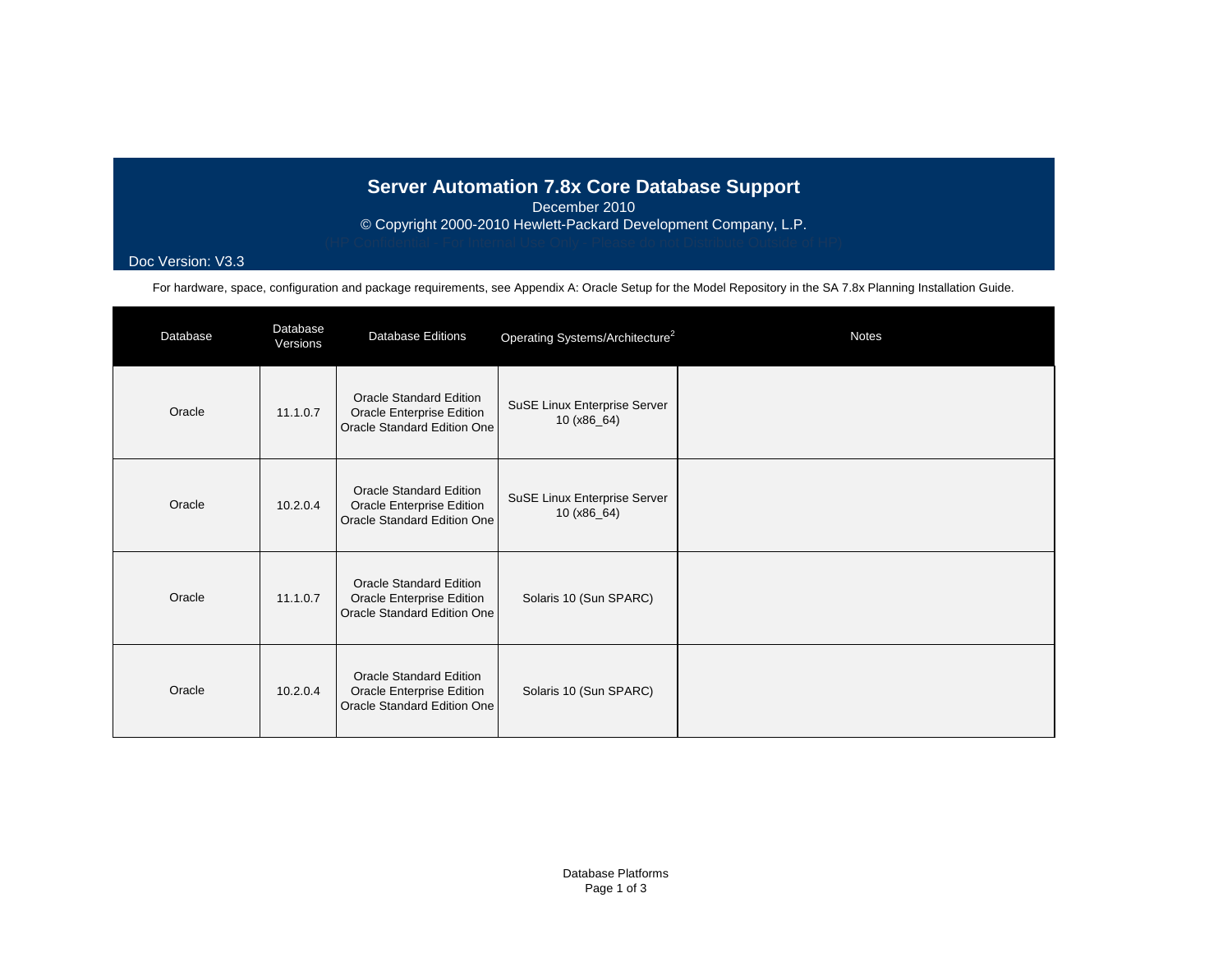# **Server Automation 7.8x Core Database Support**

December 2010

© Copyright 2000-2010 Hewlett-Packard Development Company, L.P.

## Doc Version: V3.3

For hardware, space, configuration and package requirements, see Appendix A: Oracle Setup for the Model Repository in the SA 7.8x Planning Installation Guide.

| Database | Database<br>Versions | <b>Database Editions</b>                                                                   | Operating Systems/Architecture <sup>2</sup>   | <b>Notes</b> |
|----------|----------------------|--------------------------------------------------------------------------------------------|-----------------------------------------------|--------------|
| Oracle   | 11.1.0.7             | <b>Oracle Standard Edition</b><br>Oracle Enterprise Edition<br>Oracle Standard Edition One | SuSE Linux Enterprise Server<br>10 (x86_64)   |              |
| Oracle   | 10.2.0.4             | <b>Oracle Standard Edition</b><br>Oracle Enterprise Edition<br>Oracle Standard Edition One | SuSE Linux Enterprise Server<br>10 $(x86_64)$ |              |
| Oracle   | 11.1.0.7             | <b>Oracle Standard Edition</b><br>Oracle Enterprise Edition<br>Oracle Standard Edition One | Solaris 10 (Sun SPARC)                        |              |
| Oracle   | 10.2.0.4             | <b>Oracle Standard Edition</b><br>Oracle Enterprise Edition<br>Oracle Standard Edition One | Solaris 10 (Sun SPARC)                        |              |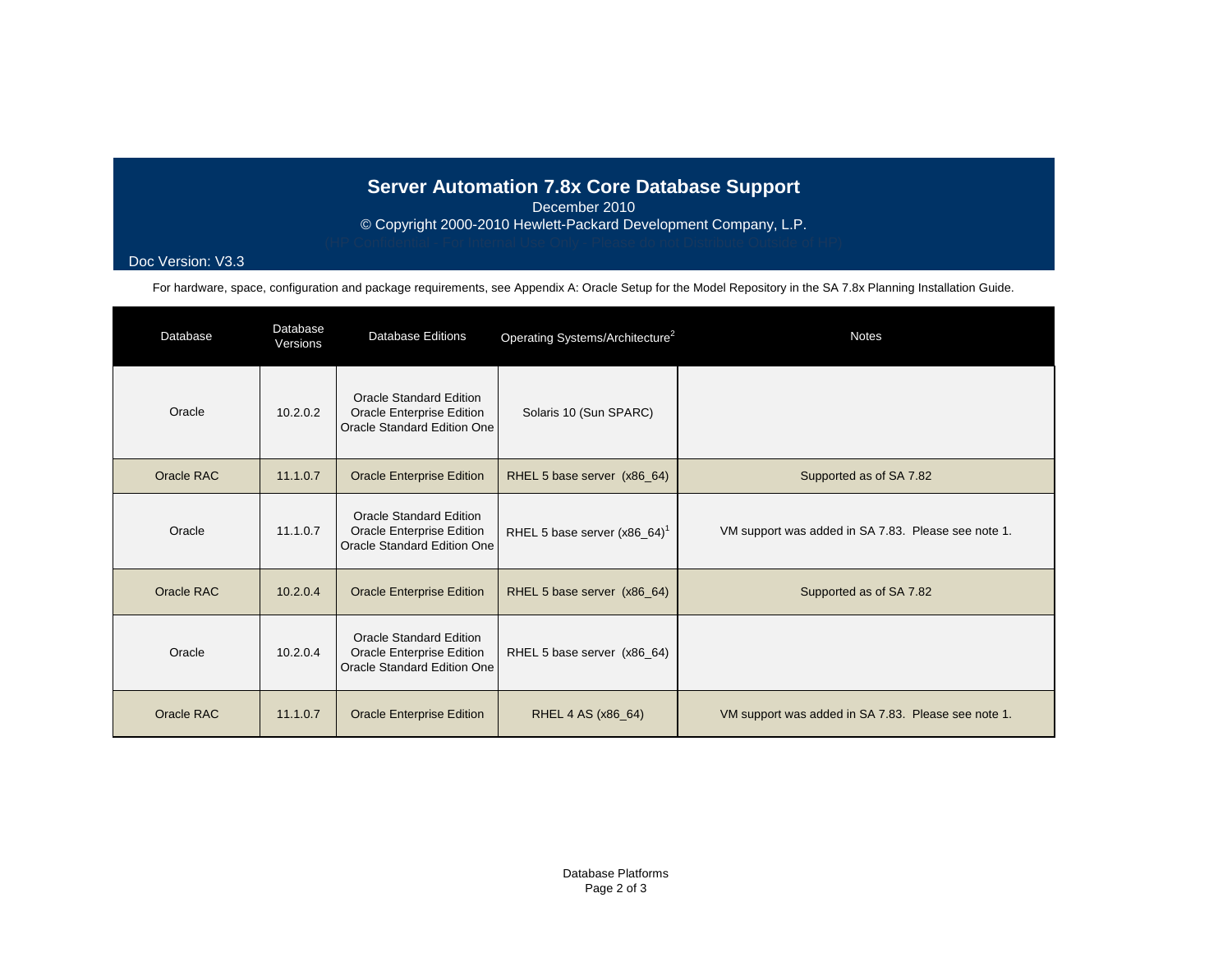# **Server Automation 7.8x Core Database Support**

December 2010

© Copyright 2000-2010 Hewlett-Packard Development Company, L.P.

## Doc Version: V3.3

For hardware, space, configuration and package requirements, see Appendix A: Oracle Setup for the Model Repository in the SA 7.8x Planning Installation Guide.

| Database   | Database<br>Versions | <b>Database Editions</b>                                                                   | Operating Systems/Architecture <sup>2</sup> | <b>Notes</b>                                        |
|------------|----------------------|--------------------------------------------------------------------------------------------|---------------------------------------------|-----------------------------------------------------|
| Oracle     | 10.2.0.2             | <b>Oracle Standard Edition</b><br>Oracle Enterprise Edition<br>Oracle Standard Edition One | Solaris 10 (Sun SPARC)                      |                                                     |
| Oracle RAC | 11.1.0.7             | <b>Oracle Enterprise Edition</b>                                                           | RHEL 5 base server (x86_64)                 | Supported as of SA 7.82                             |
| Oracle     | 11.1.0.7             | Oracle Standard Edition<br>Oracle Enterprise Edition<br>Oracle Standard Edition One        | RHEL 5 base server $(x86_64)^1$             | VM support was added in SA 7.83. Please see note 1. |
| Oracle RAC | 10.2.0.4             | <b>Oracle Enterprise Edition</b>                                                           | RHEL 5 base server (x86_64)                 | Supported as of SA 7.82                             |
| Oracle     | 10.2.0.4             | Oracle Standard Edition<br>Oracle Enterprise Edition<br>Oracle Standard Edition One        | RHEL 5 base server (x86_64)                 |                                                     |
| Oracle RAC | 11.1.0.7             | <b>Oracle Enterprise Edition</b>                                                           | RHEL 4 AS (x86_64)                          | VM support was added in SA 7.83. Please see note 1. |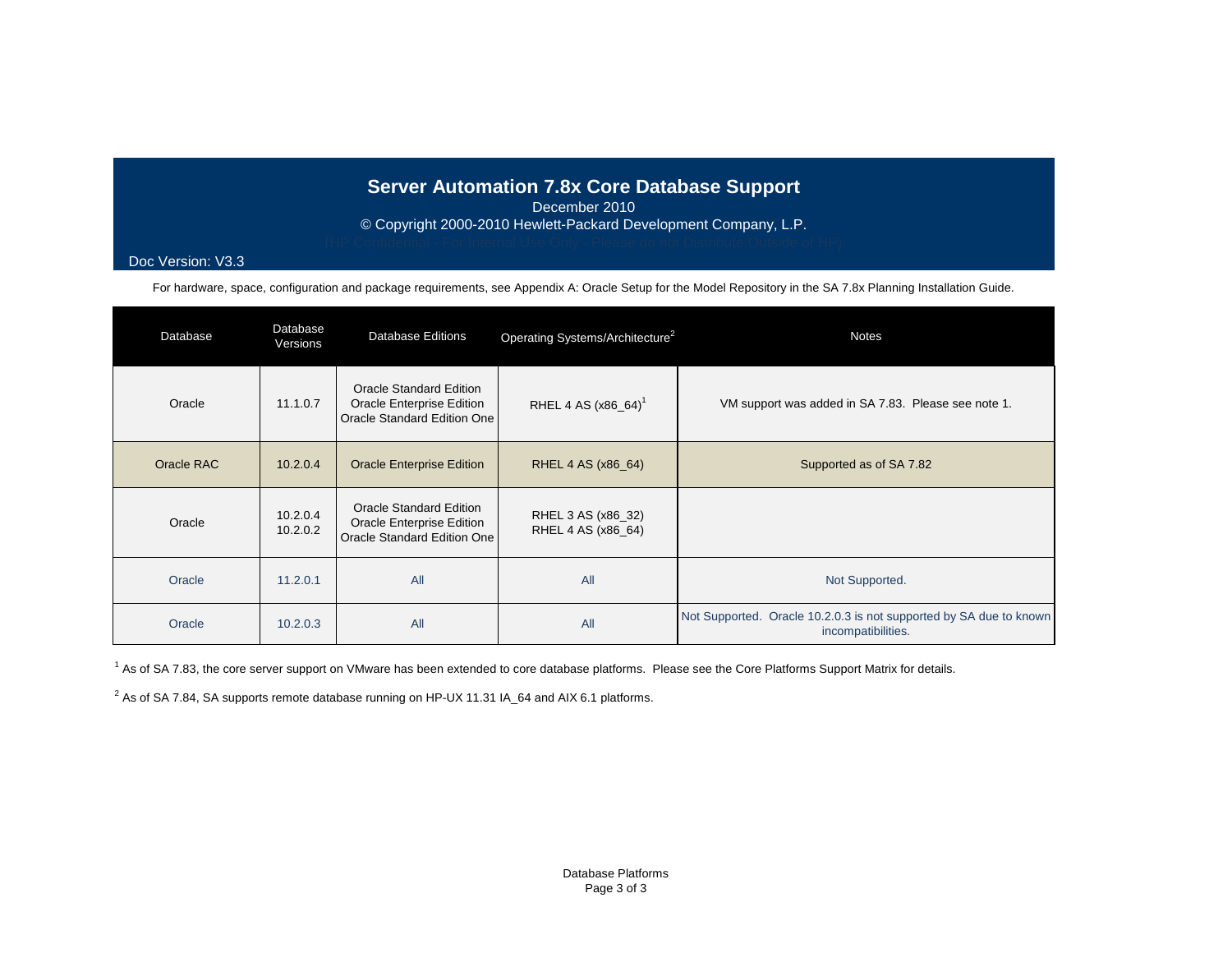# **Server Automation 7.8x Core Database Support**

December 2010

© Copyright 2000-2010 Hewlett-Packard Development Company, L.P.

## Doc Version: V3.3

For hardware, space, configuration and package requirements, see Appendix A: Oracle Setup for the Model Repository in the SA 7.8x Planning Installation Guide.

| Database   | Database<br>Versions | <b>Database Editions</b>                                                            | Operating Systems/Architecture <sup>2</sup> | <b>Notes</b>                                                                             |  |  |
|------------|----------------------|-------------------------------------------------------------------------------------|---------------------------------------------|------------------------------------------------------------------------------------------|--|--|
| Oracle     | 11.1.0.7             | Oracle Standard Edition<br>Oracle Enterprise Edition<br>Oracle Standard Edition One | RHEL 4 AS (x86_64) <sup>1</sup>             | VM support was added in SA 7.83. Please see note 1.                                      |  |  |
| Oracle RAC | 10.2.0.4             | <b>Oracle Enterprise Edition</b>                                                    | RHEL 4 AS (x86_64)                          | Supported as of SA 7.82                                                                  |  |  |
| Oracle     | 10.2.0.4<br>10.2.0.2 | Oracle Standard Edition<br>Oracle Enterprise Edition<br>Oracle Standard Edition One | RHEL 3 AS (x86_32)<br>RHEL 4 AS (x86_64)    |                                                                                          |  |  |
| Oracle     | 11.2.0.1             | All                                                                                 | All                                         | Not Supported.                                                                           |  |  |
| Oracle     | 10.2.0.3             | All                                                                                 | All                                         | Not Supported. Oracle 10.2.0.3 is not supported by SA due to known<br>incompatibilities. |  |  |

<sup>1</sup> As of SA 7.83, the core server support on VMware has been extended to core database platforms. Please see the Core Platforms Support Matrix for details.

 $^2$  As of SA 7.84, SA supports remote database running on HP-UX 11.31 IA\_64 and AIX 6.1 platforms.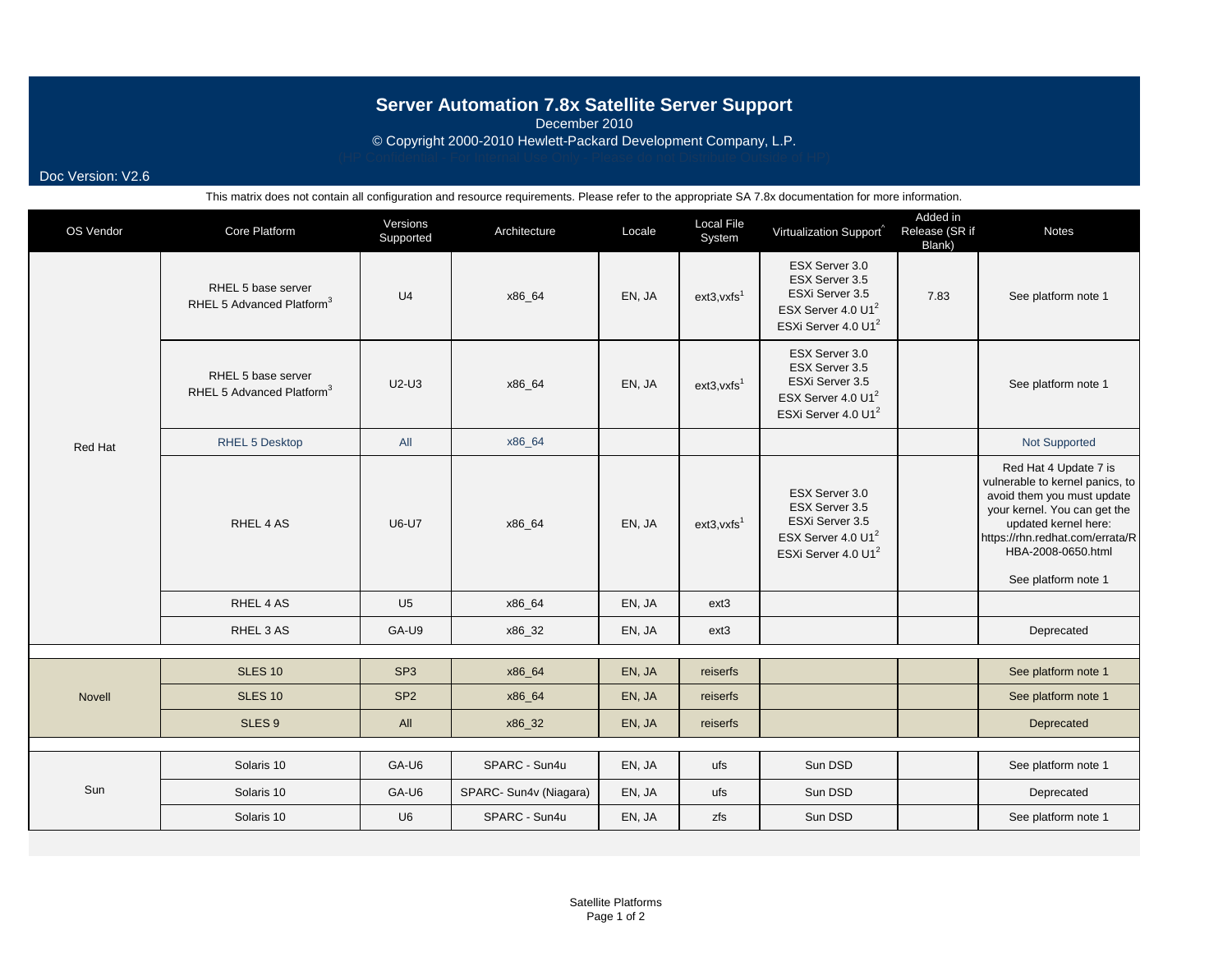# **Server Automation 7.8x Satellite Server Support**

December 2010

© Copyright 2000-2010 Hewlett-Packard Development Company, L.P.

Doc Version: V2.6

| OS Vendor      | Core Platform                                               | Versions<br>Supported | Architecture           | Locale | <b>Local File</b><br>System | Virtualization Support                                                                                                   | Added in<br>Release (SR if<br>Blank) | <b>Notes</b>                                                                                                                                                                                                                   |
|----------------|-------------------------------------------------------------|-----------------------|------------------------|--------|-----------------------------|--------------------------------------------------------------------------------------------------------------------------|--------------------------------------|--------------------------------------------------------------------------------------------------------------------------------------------------------------------------------------------------------------------------------|
|                | RHEL 5 base server<br>RHEL 5 Advanced Platform <sup>3</sup> | U <sub>4</sub>        | x86_64                 | EN, JA | $ext{3}, vxfs1$             | ESX Server 3.0<br>ESX Server 3.5<br>ESXi Server 3.5<br>ESX Server 4.0 U1 <sup>2</sup><br>ESXi Server 4.0 U1 <sup>2</sup> | 7.83                                 | See platform note 1                                                                                                                                                                                                            |
|                | RHEL 5 base server<br>RHEL 5 Advanced Platform <sup>3</sup> | $U2-U3$               | x86_64                 | EN, JA | $ext{3}, vxfs1$             | ESX Server 3.0<br>ESX Server 3.5<br>ESXi Server 3.5<br>ESX Server 4.0 U1 <sup>2</sup><br>ESXi Server 4.0 U1 <sup>2</sup> |                                      | See platform note 1                                                                                                                                                                                                            |
| <b>Red Hat</b> | <b>RHEL 5 Desktop</b>                                       | All                   | x86_64                 |        |                             |                                                                                                                          |                                      | Not Supported                                                                                                                                                                                                                  |
|                | RHEL 4 AS                                                   | <b>U6-U7</b>          | x86_64                 | EN, JA | $ext{3}, vxfs1$             | ESX Server 3.0<br>ESX Server 3.5<br>ESXi Server 3.5<br>ESX Server 4.0 U1 <sup>2</sup><br>ESXi Server 4.0 U1 <sup>2</sup> |                                      | Red Hat 4 Update 7 is<br>vulnerable to kernel panics, to<br>avoid them you must update<br>your kernel. You can get the<br>updated kernel here:<br>https://rhn.redhat.com/errata/R<br>HBA-2008-0650.html<br>See platform note 1 |
|                | RHEL 4 AS                                                   | U <sub>5</sub>        | x86_64                 | EN, JA | ext <sub>3</sub>            |                                                                                                                          |                                      |                                                                                                                                                                                                                                |
|                | RHEL 3 AS                                                   | GA-U9                 | x86_32                 | EN, JA | ext <sub>3</sub>            |                                                                                                                          |                                      | Deprecated                                                                                                                                                                                                                     |
|                | <b>SLES 10</b>                                              | SP <sub>3</sub>       | x86_64                 | EN, JA | reiserfs                    |                                                                                                                          |                                      | See platform note 1                                                                                                                                                                                                            |
|                | <b>SLES 10</b>                                              | SP <sub>2</sub>       | x86_64                 | EN, JA | reiserfs                    |                                                                                                                          |                                      | See platform note 1                                                                                                                                                                                                            |
| <b>Novell</b>  |                                                             |                       |                        |        |                             |                                                                                                                          |                                      |                                                                                                                                                                                                                                |
|                | SLES <sub>9</sub>                                           | All                   | x86_32                 | EN, JA | reiserfs                    |                                                                                                                          |                                      | Deprecated                                                                                                                                                                                                                     |
|                | Solaris 10                                                  | GA-U6                 | SPARC - Sun4u          | EN, JA | ufs                         | Sun DSD                                                                                                                  |                                      | See platform note 1                                                                                                                                                                                                            |
| Sun            | Solaris 10                                                  | GA-U6                 | SPARC- Sun4v (Niagara) | EN, JA | ufs                         | Sun DSD                                                                                                                  |                                      | Deprecated                                                                                                                                                                                                                     |
|                | Solaris 10                                                  | U6                    | SPARC - Sun4u          | EN, JA | zfs                         | Sun DSD                                                                                                                  |                                      | See platform note 1                                                                                                                                                                                                            |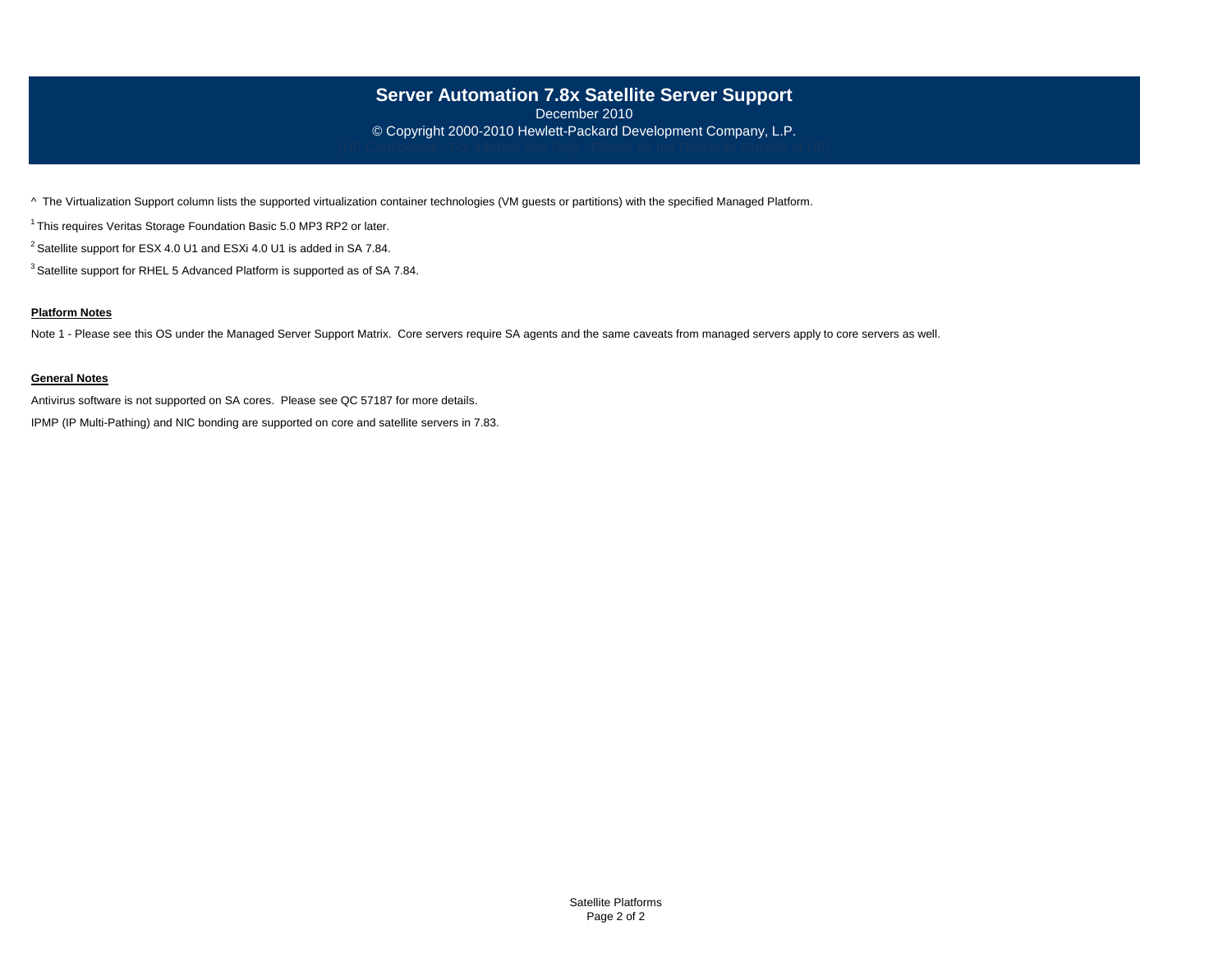## **Server Automation 7.8x Satellite Server Support**

December 2010 © Copyright 2000-2010 Hewlett-Packard Development Company, L.P.

^ The Virtualization Support column lists the supported virtualization container technologies (VM guests or partitions) with the specified Managed Platform.

<sup>1</sup> This requires Veritas Storage Foundation Basic 5.0 MP3 RP2 or later.

<sup>2</sup> Satellite support for ESX 4.0 U1 and ESXi 4.0 U1 is added in SA 7.84.

<sup>3</sup> Satellite support for RHEL 5 Advanced Platform is supported as of SA 7.84.

### **Platform Notes**

Note 1 - Please see this OS under the Managed Server Support Matrix. Core servers require SA agents and the same caveats from managed servers apply to core servers as well.

### **General Notes**

Antivirus software is not supported on SA cores. Please see QC 57187 for more details.

IPMP (IP Multi-Pathing) and NIC bonding are supported on core and satellite servers in 7.83.